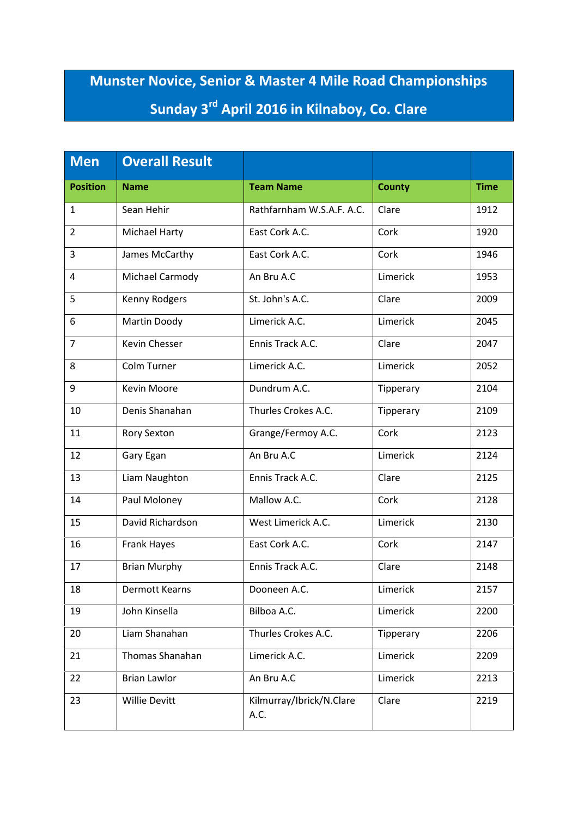## **Munster Novice, Senior & Master 4 Mile Road Championships Sunday 3rd April 2016 in Kilnaboy, Co. Clare**

| <b>Men</b>      | <b>Overall Result</b> |                                  |               |             |
|-----------------|-----------------------|----------------------------------|---------------|-------------|
| <b>Position</b> | <b>Name</b>           | <b>Team Name</b>                 | <b>County</b> | <b>Time</b> |
| $\mathbf{1}$    | Sean Hehir            | Rathfarnham W.S.A.F. A.C.        | Clare         | 1912        |
| $\overline{2}$  | <b>Michael Harty</b>  | East Cork A.C.                   | Cork          | 1920        |
| 3               | James McCarthy        | East Cork A.C.                   | Cork          | 1946        |
| 4               | Michael Carmody       | An Bru A.C                       | Limerick      | 1953        |
| 5               | Kenny Rodgers         | St. John's A.C.                  | Clare         | 2009        |
| 6               | Martin Doody          | Limerick A.C.                    | Limerick      | 2045        |
| $\overline{7}$  | <b>Kevin Chesser</b>  | Ennis Track A.C.                 | Clare         | 2047        |
| 8               | Colm Turner           | Limerick A.C.                    | Limerick      | 2052        |
| 9               | Kevin Moore           | Dundrum A.C.                     | Tipperary     | 2104        |
| 10              | Denis Shanahan        | Thurles Crokes A.C.              | Tipperary     | 2109        |
| 11              | Rory Sexton           | Grange/Fermoy A.C.               | Cork          | 2123        |
| 12              | Gary Egan             | An Bru A.C                       | Limerick      | 2124        |
| 13              | Liam Naughton         | Ennis Track A.C.                 | Clare         | 2125        |
| 14              | Paul Moloney          | Mallow A.C.                      | Cork          | 2128        |
| 15              | David Richardson      | West Limerick A.C.               | Limerick      | 2130        |
| 16              | Frank Hayes           | East Cork A.C.                   | Cork          | 2147        |
| 17              | <b>Brian Murphy</b>   | Ennis Track A.C.                 | Clare         | 2148        |
| 18              | Dermott Kearns        | Dooneen A.C.                     | Limerick      | 2157        |
| 19              | John Kinsella         | Bilboa A.C.                      | Limerick      | 2200        |
| 20              | Liam Shanahan         | Thurles Crokes A.C.              | Tipperary     | 2206        |
| 21              | Thomas Shanahan       | Limerick A.C.                    | Limerick      | 2209        |
| 22              | <b>Brian Lawlor</b>   | An Bru A.C                       | Limerick      | 2213        |
| 23              | <b>Willie Devitt</b>  | Kilmurray/Ibrick/N.Clare<br>A.C. | Clare         | 2219        |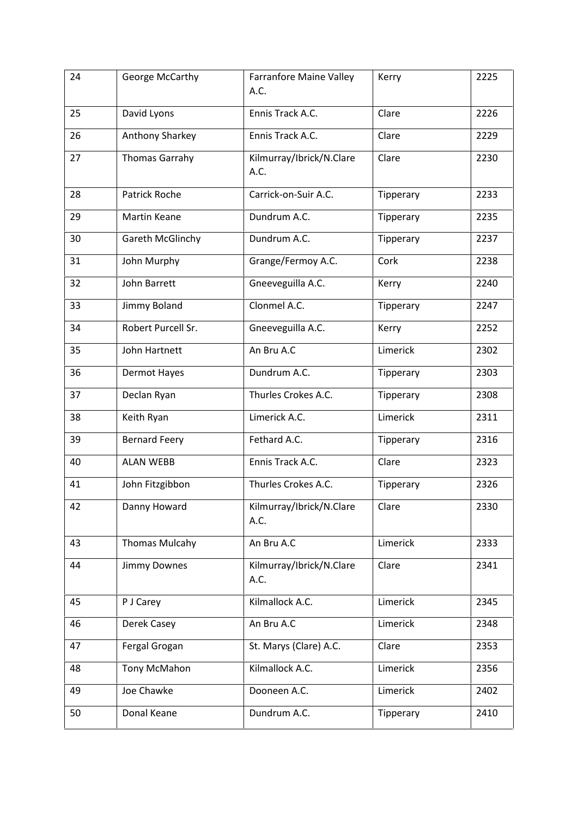| 24 | George McCarthy       | <b>Farranfore Maine Valley</b><br>A.C. | Kerry     | 2225 |
|----|-----------------------|----------------------------------------|-----------|------|
| 25 | David Lyons           | Ennis Track A.C.                       | Clare     | 2226 |
| 26 | Anthony Sharkey       | Ennis Track A.C.                       | Clare     | 2229 |
| 27 | <b>Thomas Garrahy</b> | Kilmurray/Ibrick/N.Clare<br>A.C.       | Clare     | 2230 |
| 28 | <b>Patrick Roche</b>  | Carrick-on-Suir A.C.                   | Tipperary | 2233 |
| 29 | <b>Martin Keane</b>   | Dundrum A.C.                           | Tipperary | 2235 |
| 30 | Gareth McGlinchy      | Dundrum A.C.                           | Tipperary | 2237 |
| 31 | John Murphy           | Grange/Fermoy A.C.                     | Cork      | 2238 |
| 32 | John Barrett          | Gneeveguilla A.C.                      | Kerry     | 2240 |
| 33 | Jimmy Boland          | Clonmel A.C.                           | Tipperary | 2247 |
| 34 | Robert Purcell Sr.    | Gneeveguilla A.C.                      | Kerry     | 2252 |
| 35 | John Hartnett         | An Bru A.C                             | Limerick  | 2302 |
| 36 | <b>Dermot Hayes</b>   | Dundrum A.C.                           | Tipperary | 2303 |
| 37 | Declan Ryan           | Thurles Crokes A.C.                    | Tipperary | 2308 |
| 38 | Keith Ryan            | Limerick A.C.                          | Limerick  | 2311 |
| 39 | <b>Bernard Feery</b>  | Fethard A.C.                           | Tipperary | 2316 |
| 40 | <b>ALAN WEBB</b>      | Ennis Track A.C.                       | Clare     | 2323 |
| 41 | John Fitzgibbon       | Thurles Crokes A.C.                    | Tipperary | 2326 |
| 42 | Danny Howard          | Kilmurray/Ibrick/N.Clare<br>A.C.       | Clare     | 2330 |
| 43 | <b>Thomas Mulcahy</b> | An Bru A.C                             | Limerick  | 2333 |
| 44 | Jimmy Downes          | Kilmurray/Ibrick/N.Clare<br>A.C.       | Clare     | 2341 |
| 45 | P J Carey             | Kilmallock A.C.                        | Limerick  | 2345 |
| 46 | Derek Casey           | An Bru A.C                             | Limerick  | 2348 |
| 47 | Fergal Grogan         | St. Marys (Clare) A.C.                 | Clare     | 2353 |
| 48 | Tony McMahon          | Kilmallock A.C.                        | Limerick  | 2356 |
| 49 | Joe Chawke            | Dooneen A.C.                           | Limerick  | 2402 |
| 50 | Donal Keane           | Dundrum A.C.                           | Tipperary | 2410 |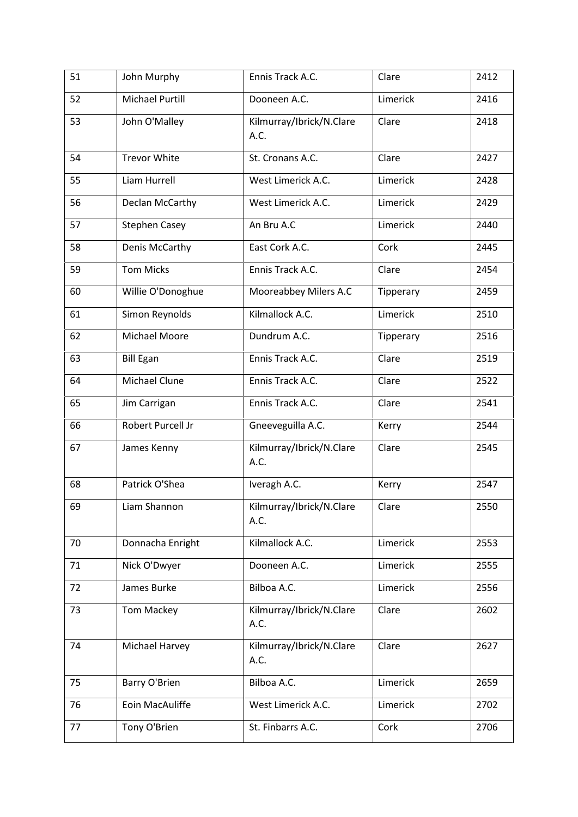| 51 | John Murphy            | Ennis Track A.C.                 | Clare     | 2412 |
|----|------------------------|----------------------------------|-----------|------|
| 52 | <b>Michael Purtill</b> | Dooneen A.C.                     | Limerick  | 2416 |
| 53 | John O'Malley          | Kilmurray/Ibrick/N.Clare<br>A.C. | Clare     | 2418 |
| 54 | <b>Trevor White</b>    | St. Cronans A.C.                 | Clare     | 2427 |
| 55 | Liam Hurrell           | West Limerick A.C.               | Limerick  | 2428 |
| 56 | Declan McCarthy        | West Limerick A.C.               | Limerick  | 2429 |
| 57 | <b>Stephen Casey</b>   | An Bru A.C                       | Limerick  | 2440 |
| 58 | Denis McCarthy         | East Cork A.C.                   | Cork      | 2445 |
| 59 | <b>Tom Micks</b>       | Ennis Track A.C.                 | Clare     | 2454 |
| 60 | Willie O'Donoghue      | Mooreabbey Milers A.C            | Tipperary | 2459 |
| 61 | Simon Reynolds         | Kilmallock A.C.                  | Limerick  | 2510 |
| 62 | Michael Moore          | Dundrum A.C.                     | Tipperary | 2516 |
| 63 | <b>Bill Egan</b>       | Ennis Track A.C.                 | Clare     | 2519 |
| 64 | Michael Clune          | Ennis Track A.C.                 | Clare     | 2522 |
| 65 | Jim Carrigan           | Ennis Track A.C.                 | Clare     | 2541 |
| 66 | Robert Purcell Jr      | Gneeveguilla A.C.                | Kerry     | 2544 |
| 67 | James Kenny            | Kilmurray/Ibrick/N.Clare<br>A.C. | Clare     | 2545 |
| 68 | Patrick O'Shea         | Iveragh A.C.                     | Kerry     | 2547 |
| 69 | Liam Shannon           | Kilmurray/Ibrick/N.Clare<br>A.C. | Clare     | 2550 |
| 70 | Donnacha Enright       | Kilmallock A.C.                  | Limerick  | 2553 |
| 71 | Nick O'Dwyer           | Dooneen A.C.                     | Limerick  | 2555 |
| 72 | James Burke            | Bilboa A.C.                      | Limerick  | 2556 |
| 73 | Tom Mackey             | Kilmurray/Ibrick/N.Clare<br>A.C. | Clare     | 2602 |
| 74 | Michael Harvey         | Kilmurray/Ibrick/N.Clare<br>A.C. | Clare     | 2627 |
| 75 | Barry O'Brien          | Bilboa A.C.                      | Limerick  | 2659 |
| 76 | Eoin MacAuliffe        | West Limerick A.C.               | Limerick  | 2702 |
| 77 | Tony O'Brien           | St. Finbarrs A.C.                | Cork      | 2706 |
|    |                        |                                  |           |      |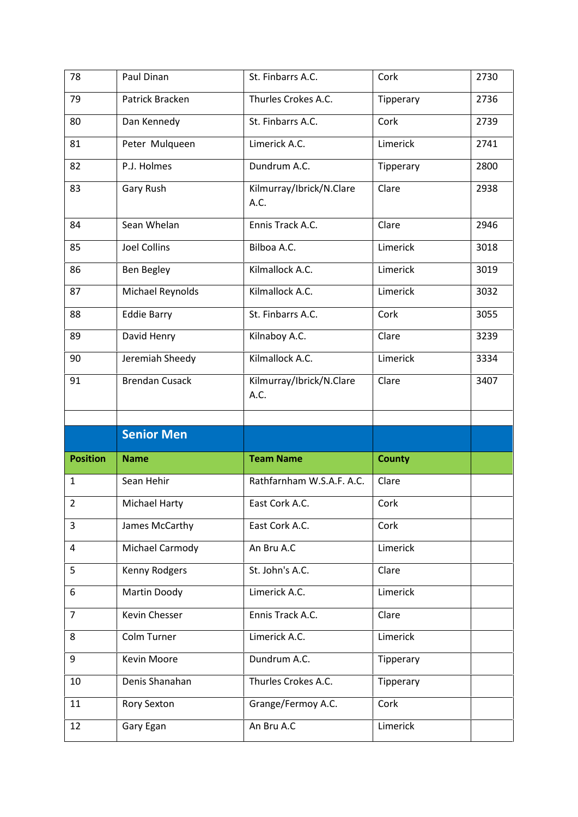| 78              | Paul Dinan            | St. Finbarrs A.C.                | Cork          | 2730 |
|-----------------|-----------------------|----------------------------------|---------------|------|
| 79              | Patrick Bracken       | Thurles Crokes A.C.              | Tipperary     | 2736 |
| 80              | Dan Kennedy           | St. Finbarrs A.C.                | Cork          | 2739 |
| 81              | Peter Mulqueen        | Limerick A.C.                    | Limerick      | 2741 |
| 82              | P.J. Holmes           | Dundrum A.C.                     | Tipperary     | 2800 |
| 83              | Gary Rush             | Kilmurray/Ibrick/N.Clare<br>A.C. | Clare         | 2938 |
| 84              | Sean Whelan           | Ennis Track A.C.                 | Clare         | 2946 |
| 85              | <b>Joel Collins</b>   | Bilboa A.C.                      | Limerick      | 3018 |
| 86              | Ben Begley            | Kilmallock A.C.                  | Limerick      | 3019 |
| 87              | Michael Reynolds      | Kilmallock A.C.                  | Limerick      | 3032 |
| 88              | <b>Eddie Barry</b>    | St. Finbarrs A.C.                | Cork          | 3055 |
| 89              | David Henry           | Kilnaboy A.C.                    | Clare         | 3239 |
| 90              | Jeremiah Sheedy       | Kilmallock A.C.                  | Limerick      | 3334 |
| 91              | <b>Brendan Cusack</b> | Kilmurray/Ibrick/N.Clare<br>A.C. | Clare         | 3407 |
|                 |                       |                                  |               |      |
|                 |                       |                                  |               |      |
|                 | <b>Senior Men</b>     |                                  |               |      |
| <b>Position</b> | <b>Name</b>           | <b>Team Name</b>                 | <b>County</b> |      |
| $\mathbf{1}$    | Sean Hehir            | Rathfarnham W.S.A.F. A.C.        | Clare         |      |
| $\overline{2}$  | Michael Harty         | East Cork A.C.                   | Cork          |      |
| 3               | James McCarthy        | East Cork A.C.                   | Cork          |      |
| 4               | Michael Carmody       | An Bru A.C                       | Limerick      |      |
| 5               | Kenny Rodgers         | St. John's A.C.                  | Clare         |      |
| 6               | Martin Doody          | Limerick A.C.                    | Limerick      |      |
| $\overline{7}$  | Kevin Chesser         | Ennis Track A.C.                 | Clare         |      |
| 8               | Colm Turner           | Limerick A.C.                    | Limerick      |      |
| 9               | Kevin Moore           | Dundrum A.C.                     | Tipperary     |      |
| 10              | Denis Shanahan        | Thurles Crokes A.C.              | Tipperary     |      |
| 11              | <b>Rory Sexton</b>    | Grange/Fermoy A.C.               | Cork          |      |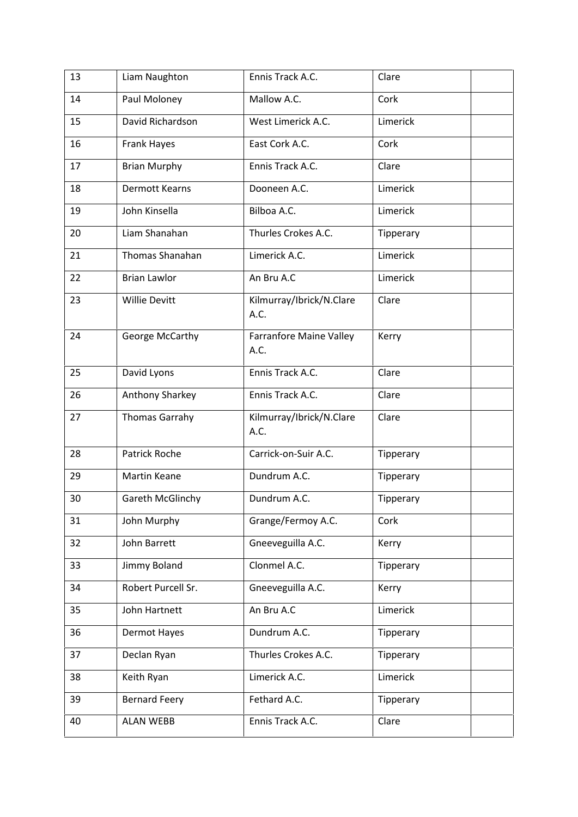| 13 | Liam Naughton          | Ennis Track A.C.                 | Clare     |
|----|------------------------|----------------------------------|-----------|
| 14 | Paul Moloney           | Mallow A.C.                      | Cork      |
| 15 | David Richardson       | West Limerick A.C.               | Limerick  |
| 16 | Frank Hayes            | East Cork A.C.                   | Cork      |
| 17 | <b>Brian Murphy</b>    | Ennis Track A.C.                 | Clare     |
| 18 | <b>Dermott Kearns</b>  | Dooneen A.C.                     | Limerick  |
| 19 | John Kinsella          | Bilboa A.C.                      | Limerick  |
| 20 | Liam Shanahan          | Thurles Crokes A.C.              | Tipperary |
| 21 | <b>Thomas Shanahan</b> | Limerick A.C.                    | Limerick  |
| 22 | <b>Brian Lawlor</b>    | An Bru A.C                       | Limerick  |
| 23 | <b>Willie Devitt</b>   | Kilmurray/Ibrick/N.Clare<br>A.C. | Clare     |
| 24 | George McCarthy        | Farranfore Maine Valley<br>A.C.  | Kerry     |
| 25 | David Lyons            | Ennis Track A.C.                 | Clare     |
| 26 | Anthony Sharkey        | Ennis Track A.C.                 | Clare     |
| 27 | <b>Thomas Garrahy</b>  | Kilmurray/Ibrick/N.Clare<br>A.C. | Clare     |
| 28 | <b>Patrick Roche</b>   | Carrick-on-Suir A.C.             | Tipperary |
| 29 | <b>Martin Keane</b>    | Dundrum A.C.                     | Tipperary |
| 30 | Gareth McGlinchy       | Dundrum A.C.                     | Tipperary |
| 31 | John Murphy            | Grange/Fermoy A.C.               | Cork      |
| 32 | John Barrett           | Gneeveguilla A.C.                | Kerry     |
| 33 | Jimmy Boland           | Clonmel A.C.                     | Tipperary |
| 34 | Robert Purcell Sr.     | Gneeveguilla A.C.                | Kerry     |
| 35 | John Hartnett          | An Bru A.C                       | Limerick  |
| 36 | Dermot Hayes           | Dundrum A.C.                     | Tipperary |
| 37 | Declan Ryan            | Thurles Crokes A.C.              | Tipperary |
| 38 | Keith Ryan             | Limerick A.C.                    | Limerick  |
| 39 | <b>Bernard Feery</b>   | Fethard A.C.                     | Tipperary |
| 40 | <b>ALAN WEBB</b>       | Ennis Track A.C.                 | Clare     |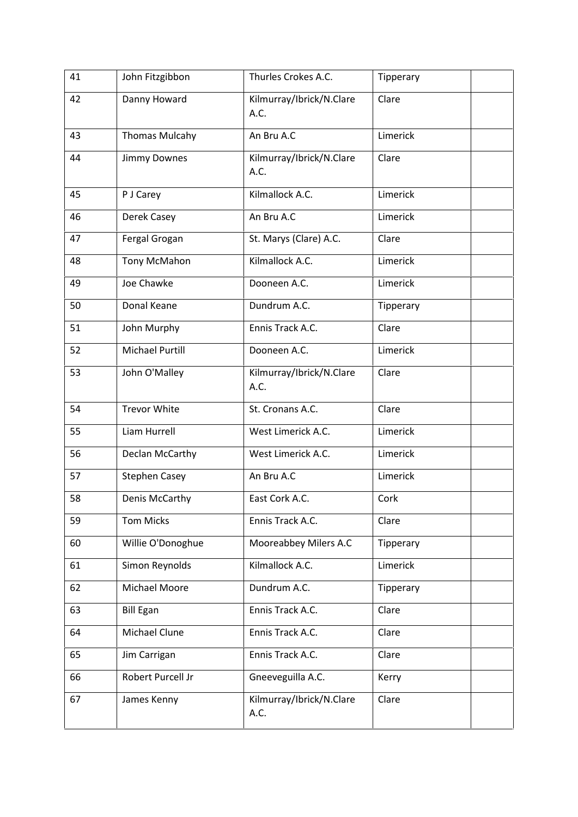| 41 | John Fitzgibbon        | Thurles Crokes A.C.              | Tipperary |
|----|------------------------|----------------------------------|-----------|
| 42 | Danny Howard           | Kilmurray/Ibrick/N.Clare<br>A.C. | Clare     |
| 43 | <b>Thomas Mulcahy</b>  | An Bru A.C                       | Limerick  |
| 44 | <b>Jimmy Downes</b>    | Kilmurray/Ibrick/N.Clare<br>A.C. | Clare     |
| 45 | P J Carey              | Kilmallock A.C.                  | Limerick  |
| 46 | Derek Casey            | An Bru A.C                       | Limerick  |
| 47 | Fergal Grogan          | St. Marys (Clare) A.C.           | Clare     |
| 48 | Tony McMahon           | Kilmallock A.C.                  | Limerick  |
| 49 | Joe Chawke             | Dooneen A.C.                     | Limerick  |
| 50 | Donal Keane            | Dundrum A.C.                     | Tipperary |
| 51 | John Murphy            | Ennis Track A.C.                 | Clare     |
| 52 | <b>Michael Purtill</b> | Dooneen A.C.                     | Limerick  |
| 53 | John O'Malley          | Kilmurray/Ibrick/N.Clare<br>A.C. | Clare     |
| 54 | <b>Trevor White</b>    | St. Cronans A.C.                 | Clare     |
| 55 | Liam Hurrell           | West Limerick A.C.               | Limerick  |
| 56 | Declan McCarthy        | West Limerick A.C.               | Limerick  |
| 57 | <b>Stephen Casey</b>   | An Bru A.C                       | Limerick  |
| 58 | Denis McCarthy         | East Cork A.C.                   | Cork      |
| 59 | <b>Tom Micks</b>       | Ennis Track A.C.                 | Clare     |
| 60 | Willie O'Donoghue      | Mooreabbey Milers A.C            | Tipperary |
| 61 | Simon Reynolds         | Kilmallock A.C.                  | Limerick  |
| 62 | Michael Moore          | Dundrum A.C.                     | Tipperary |
| 63 | <b>Bill Egan</b>       | Ennis Track A.C.                 | Clare     |
| 64 | Michael Clune          | Ennis Track A.C.                 | Clare     |
| 65 | Jim Carrigan           | Ennis Track A.C.                 | Clare     |
| 66 | Robert Purcell Jr      | Gneeveguilla A.C.                | Kerry     |
| 67 | James Kenny            | Kilmurray/Ibrick/N.Clare<br>A.C. | Clare     |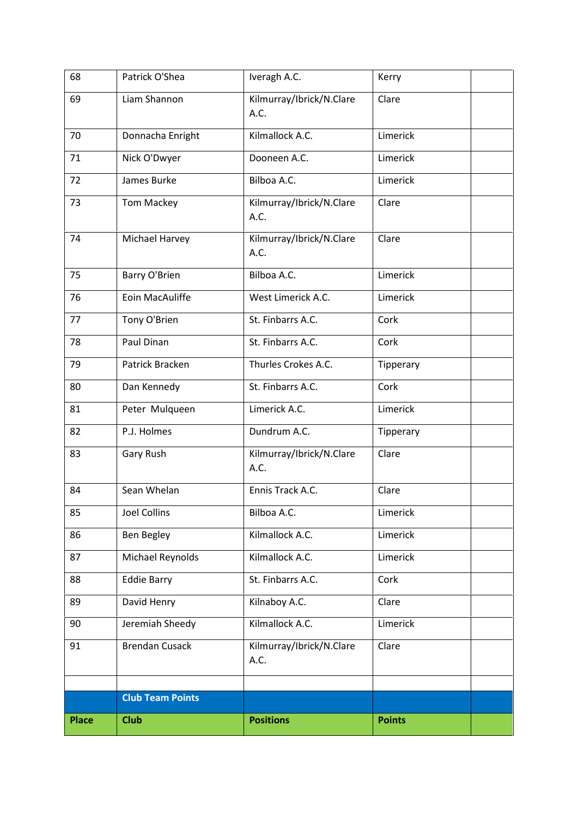| 68           | Patrick O'Shea          | Iveragh A.C.                     | Kerry         |
|--------------|-------------------------|----------------------------------|---------------|
| 69           | Liam Shannon            | Kilmurray/Ibrick/N.Clare<br>A.C. | Clare         |
| 70           | Donnacha Enright        | Kilmallock A.C.                  | Limerick      |
| 71           | Nick O'Dwyer            | Dooneen A.C.                     | Limerick      |
| 72           | James Burke             | Bilboa A.C.                      | Limerick      |
| 73           | <b>Tom Mackey</b>       | Kilmurray/Ibrick/N.Clare<br>A.C. | Clare         |
| 74           | Michael Harvey          | Kilmurray/Ibrick/N.Clare<br>A.C. | Clare         |
| 75           | Barry O'Brien           | Bilboa A.C.                      | Limerick      |
| 76           | Eoin MacAuliffe         | West Limerick A.C.               | Limerick      |
| 77           | Tony O'Brien            | St. Finbarrs A.C.                | Cork          |
| 78           | Paul Dinan              | St. Finbarrs A.C.                | Cork          |
| 79           | Patrick Bracken         | Thurles Crokes A.C.              | Tipperary     |
| 80           | Dan Kennedy             | St. Finbarrs A.C.                | Cork          |
| 81           | Peter Mulqueen          | Limerick A.C.                    | Limerick      |
| 82           | P.J. Holmes             | Dundrum A.C.                     | Tipperary     |
| 83           | Gary Rush               | Kilmurray/Ibrick/N.Clare<br>A.C. | Clare         |
| 84           | Sean Whelan             | Ennis Track A.C.                 | Clare         |
| 85           | <b>Joel Collins</b>     | Bilboa A.C.                      | Limerick      |
| 86           | <b>Ben Begley</b>       | Kilmallock A.C.                  | Limerick      |
| 87           | Michael Reynolds        | Kilmallock A.C.                  | Limerick      |
| 88           | <b>Eddie Barry</b>      | St. Finbarrs A.C.                | Cork          |
| 89           | David Henry             | Kilnaboy A.C.                    | Clare         |
| 90           | Jeremiah Sheedy         | Kilmallock A.C.                  | Limerick      |
| 91           | <b>Brendan Cusack</b>   | Kilmurray/Ibrick/N.Clare<br>A.C. | Clare         |
|              | <b>Club Team Points</b> |                                  |               |
|              |                         |                                  |               |
| <b>Place</b> | <b>Club</b>             | <b>Positions</b>                 | <b>Points</b> |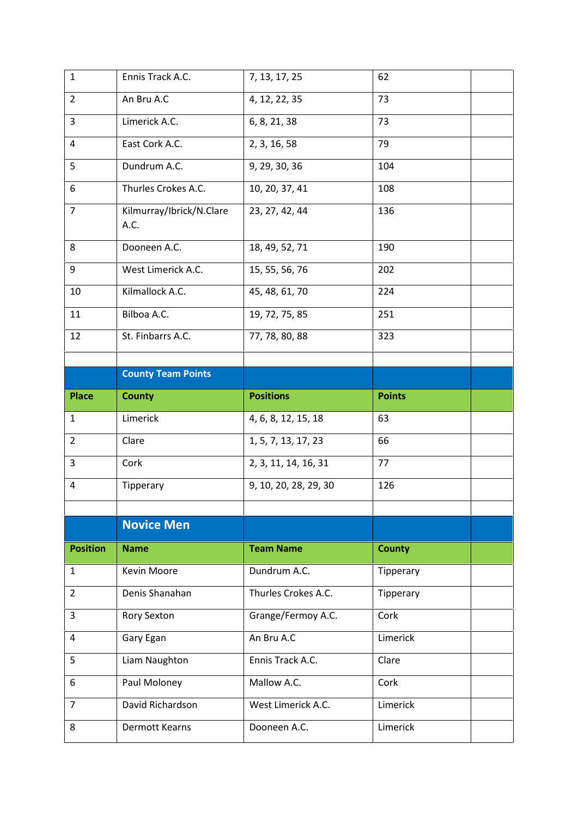| $\mathbf 1$     | Ennis Track A.C.                 | 7, 13, 17, 25         | 62            |
|-----------------|----------------------------------|-----------------------|---------------|
| $\overline{2}$  | An Bru A.C                       | 4, 12, 22, 35         | 73            |
| 3               | Limerick A.C.                    | 6, 8, 21, 38          | 73            |
| 4               | East Cork A.C.                   | 2, 3, 16, 58          | 79            |
| 5               | Dundrum A.C.                     | 9, 29, 30, 36         | 104           |
| 6               | Thurles Crokes A.C.              | 10, 20, 37, 41        | 108           |
| $\overline{7}$  | Kilmurray/Ibrick/N.Clare<br>A.C. | 23, 27, 42, 44        | 136           |
| 8               | Dooneen A.C.                     | 18, 49, 52, 71        | 190           |
| 9               | West Limerick A.C.               | 15, 55, 56, 76        | 202           |
| 10              | Kilmallock A.C.                  | 45, 48, 61, 70        | 224           |
| 11              | Bilboa A.C.                      | 19, 72, 75, 85        | 251           |
| 12              | St. Finbarrs A.C.                | 77, 78, 80, 88        | 323           |
|                 |                                  |                       |               |
|                 | <b>County Team Points</b>        |                       |               |
| <b>Place</b>    | <b>County</b>                    | <b>Positions</b>      | <b>Points</b> |
|                 |                                  |                       |               |
| $\mathbf{1}$    | Limerick                         | 4, 6, 8, 12, 15, 18   | 63            |
| $\overline{2}$  | Clare                            | 1, 5, 7, 13, 17, 23   | 66            |
| 3               | Cork                             | 2, 3, 11, 14, 16, 31  | 77            |
| 4               | Tipperary                        | 9, 10, 20, 28, 29, 30 | 126           |
|                 |                                  |                       |               |
|                 | <b>Novice Men</b>                |                       |               |
| <b>Position</b> | <b>Name</b>                      | <b>Team Name</b>      | <b>County</b> |
| $\mathbf{1}$    | Kevin Moore                      | Dundrum A.C.          | Tipperary     |
| $\overline{2}$  | Denis Shanahan                   | Thurles Crokes A.C.   | Tipperary     |
| 3               | Rory Sexton                      | Grange/Fermoy A.C.    | Cork          |
| 4               | Gary Egan                        | An Bru A.C            | Limerick      |
| 5               | Liam Naughton                    | Ennis Track A.C.      | Clare         |
| 6               | Paul Moloney                     | Mallow A.C.           | Cork          |
| $\overline{7}$  | David Richardson                 | West Limerick A.C.    | Limerick      |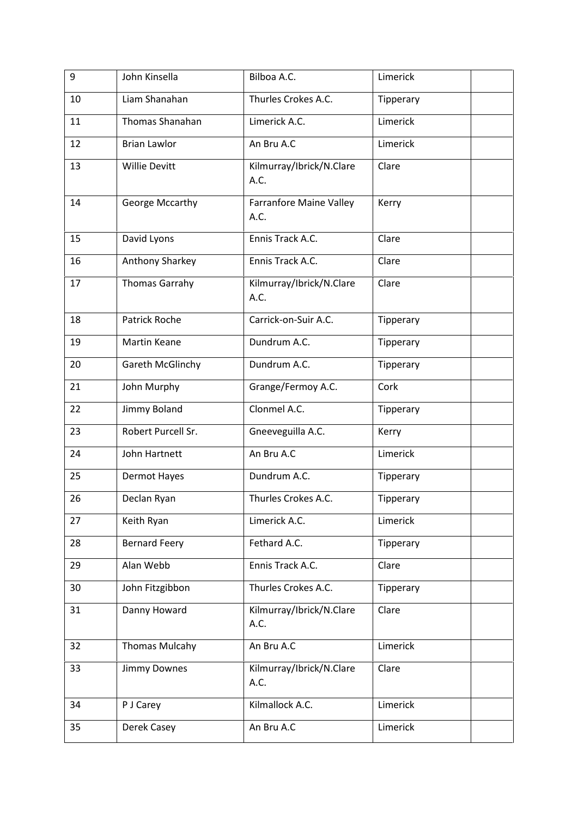| 9  | John Kinsella         | Bilboa A.C.                            | Limerick  |
|----|-----------------------|----------------------------------------|-----------|
| 10 | Liam Shanahan         | Thurles Crokes A.C.                    | Tipperary |
| 11 | Thomas Shanahan       | Limerick A.C.                          | Limerick  |
| 12 | <b>Brian Lawlor</b>   | An Bru A.C                             | Limerick  |
| 13 | <b>Willie Devitt</b>  | Kilmurray/Ibrick/N.Clare<br>A.C.       | Clare     |
| 14 | George Mccarthy       | <b>Farranfore Maine Valley</b><br>A.C. | Kerry     |
| 15 | David Lyons           | Ennis Track A.C.                       | Clare     |
| 16 | Anthony Sharkey       | Ennis Track A.C.                       | Clare     |
| 17 | <b>Thomas Garrahy</b> | Kilmurray/Ibrick/N.Clare<br>A.C.       | Clare     |
| 18 | <b>Patrick Roche</b>  | Carrick-on-Suir A.C.                   | Tipperary |
| 19 | <b>Martin Keane</b>   | Dundrum A.C.                           | Tipperary |
| 20 | Gareth McGlinchy      | Dundrum A.C.                           | Tipperary |
| 21 | John Murphy           | Grange/Fermoy A.C.                     | Cork      |
| 22 | Jimmy Boland          | Clonmel A.C.                           | Tipperary |
| 23 | Robert Purcell Sr.    | Gneeveguilla A.C.                      | Kerry     |
| 24 | John Hartnett         | An Bru A.C                             | Limerick  |
| 25 | Dermot Hayes          | Dundrum A.C.                           | Tipperary |
| 26 | Declan Ryan           | Thurles Crokes A.C.                    | Tipperary |
| 27 | Keith Ryan            | Limerick A.C.                          | Limerick  |
| 28 | <b>Bernard Feery</b>  | Fethard A.C.                           | Tipperary |
| 29 | Alan Webb             | Ennis Track A.C.                       | Clare     |
| 30 | John Fitzgibbon       | Thurles Crokes A.C.                    | Tipperary |
| 31 | Danny Howard          | Kilmurray/Ibrick/N.Clare<br>A.C.       | Clare     |
| 32 | <b>Thomas Mulcahy</b> | An Bru A.C                             | Limerick  |
| 33 | Jimmy Downes          | Kilmurray/Ibrick/N.Clare<br>A.C.       | Clare     |
| 34 | P J Carey             | Kilmallock A.C.                        | Limerick  |
| 35 | Derek Casey           | An Bru A.C                             | Limerick  |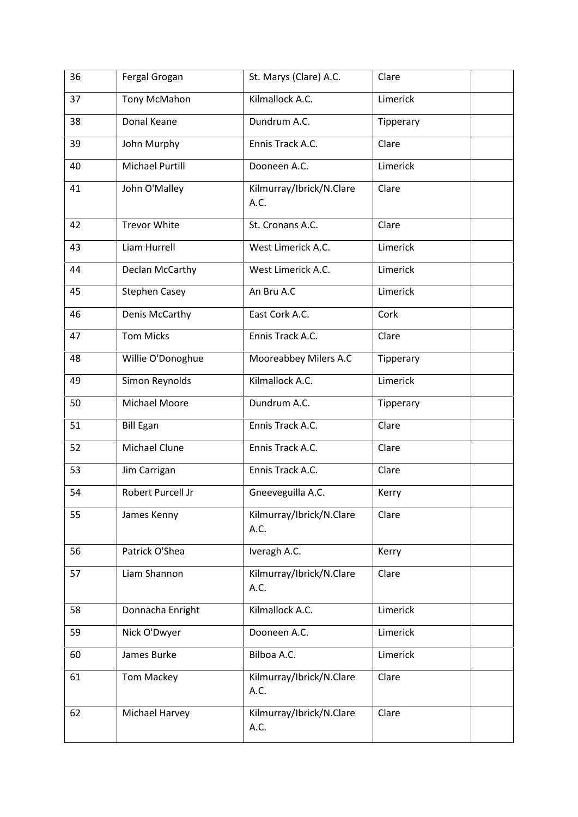| 36 | Fergal Grogan          | St. Marys (Clare) A.C.           | Clare     |
|----|------------------------|----------------------------------|-----------|
| 37 | Tony McMahon           | Kilmallock A.C.                  | Limerick  |
| 38 | Donal Keane            | Dundrum A.C.                     | Tipperary |
| 39 | John Murphy            | Ennis Track A.C.                 | Clare     |
| 40 | <b>Michael Purtill</b> | Dooneen A.C.                     | Limerick  |
| 41 | John O'Malley          | Kilmurray/Ibrick/N.Clare<br>A.C. | Clare     |
| 42 | <b>Trevor White</b>    | St. Cronans A.C.                 | Clare     |
| 43 | Liam Hurrell           | West Limerick A.C.               | Limerick  |
| 44 | Declan McCarthy        | West Limerick A.C.               | Limerick  |
| 45 | <b>Stephen Casey</b>   | An Bru A.C                       | Limerick  |
| 46 | Denis McCarthy         | East Cork A.C.                   | Cork      |
| 47 | <b>Tom Micks</b>       | Ennis Track A.C.                 | Clare     |
| 48 | Willie O'Donoghue      | Mooreabbey Milers A.C            | Tipperary |
| 49 | Simon Reynolds         | Kilmallock A.C.                  | Limerick  |
| 50 | Michael Moore          | Dundrum A.C.                     | Tipperary |
| 51 | <b>Bill Egan</b>       | Ennis Track A.C.                 | Clare     |
| 52 | Michael Clune          | Ennis Track A.C.                 | Clare     |
| 53 | Jim Carrigan           | Ennis Track A.C.                 | Clare     |
| 54 | Robert Purcell Jr      | Gneeveguilla A.C.                | Kerry     |
| 55 | James Kenny            | Kilmurray/Ibrick/N.Clare<br>A.C. | Clare     |
| 56 | Patrick O'Shea         | Iveragh A.C.                     | Kerry     |
| 57 | Liam Shannon           | Kilmurray/Ibrick/N.Clare<br>A.C. | Clare     |
| 58 | Donnacha Enright       | Kilmallock A.C.                  | Limerick  |
| 59 | Nick O'Dwyer           | Dooneen A.C.                     | Limerick  |
| 60 | James Burke            | Bilboa A.C.                      | Limerick  |
| 61 | <b>Tom Mackey</b>      | Kilmurray/Ibrick/N.Clare<br>A.C. | Clare     |
| 62 | Michael Harvey         | Kilmurray/Ibrick/N.Clare<br>A.C. | Clare     |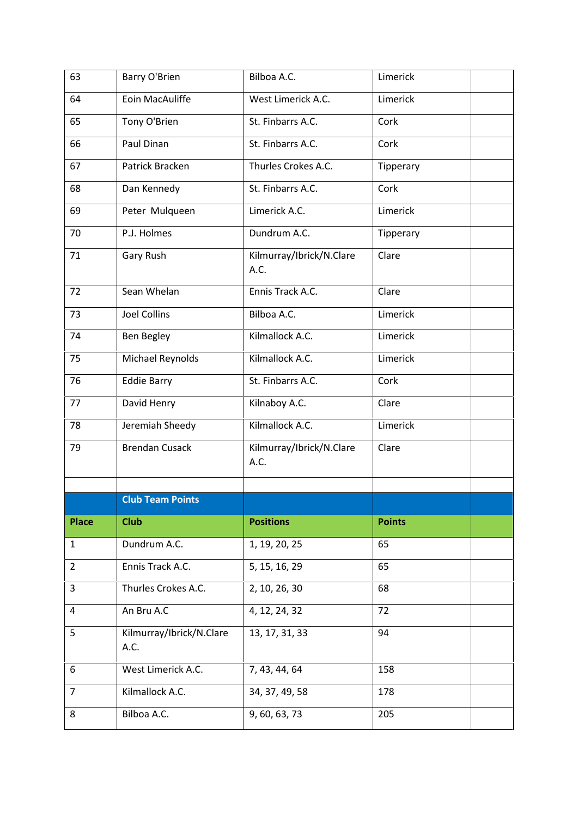| 63             | Barry O'Brien                    | Bilboa A.C.                      | Limerick      |
|----------------|----------------------------------|----------------------------------|---------------|
| 64             | Eoin MacAuliffe                  | West Limerick A.C.               | Limerick      |
| 65             | Tony O'Brien                     | St. Finbarrs A.C.                | Cork          |
| 66             | Paul Dinan                       | St. Finbarrs A.C.                | Cork          |
| 67             | Patrick Bracken                  | Thurles Crokes A.C.              | Tipperary     |
| 68             | Dan Kennedy                      | St. Finbarrs A.C.                | Cork          |
| 69             | Peter Mulqueen                   | Limerick A.C.                    | Limerick      |
| 70             | P.J. Holmes                      | Dundrum A.C.                     | Tipperary     |
| 71             | Gary Rush                        | Kilmurray/Ibrick/N.Clare<br>A.C. | Clare         |
| 72             | Sean Whelan                      | Ennis Track A.C.                 | Clare         |
| 73             | <b>Joel Collins</b>              | Bilboa A.C.                      | Limerick      |
| 74             | Ben Begley                       | Kilmallock A.C.                  | Limerick      |
| 75             | Michael Reynolds                 | Kilmallock A.C.                  | Limerick      |
| 76             | <b>Eddie Barry</b>               | St. Finbarrs A.C.                | Cork          |
| 77             | David Henry                      | Kilnaboy A.C.                    | Clare         |
| 78             | Jeremiah Sheedy                  | Kilmallock A.C.                  | Limerick      |
| 79             | <b>Brendan Cusack</b>            | Kilmurray/Ibrick/N.Clare<br>A.C. | Clare         |
|                | <b>Club Team Points</b>          |                                  |               |
|                |                                  |                                  |               |
| <b>Place</b>   | <b>Club</b>                      | <b>Positions</b>                 | <b>Points</b> |
| $\mathbf{1}$   | Dundrum A.C.                     | 1, 19, 20, 25                    | 65            |
| $\overline{2}$ | Ennis Track A.C.                 | 5, 15, 16, 29                    | 65            |
| 3              | Thurles Crokes A.C.              | 2, 10, 26, 30                    | 68            |
| 4              | An Bru A.C                       | 4, 12, 24, 32                    | 72            |
| 5              | Kilmurray/Ibrick/N.Clare<br>A.C. | 13, 17, 31, 33                   | 94            |
| 6              | West Limerick A.C.               | 7, 43, 44, 64                    | 158           |
| $\overline{7}$ |                                  |                                  | 178           |
|                | Kilmallock A.C.                  | 34, 37, 49, 58                   |               |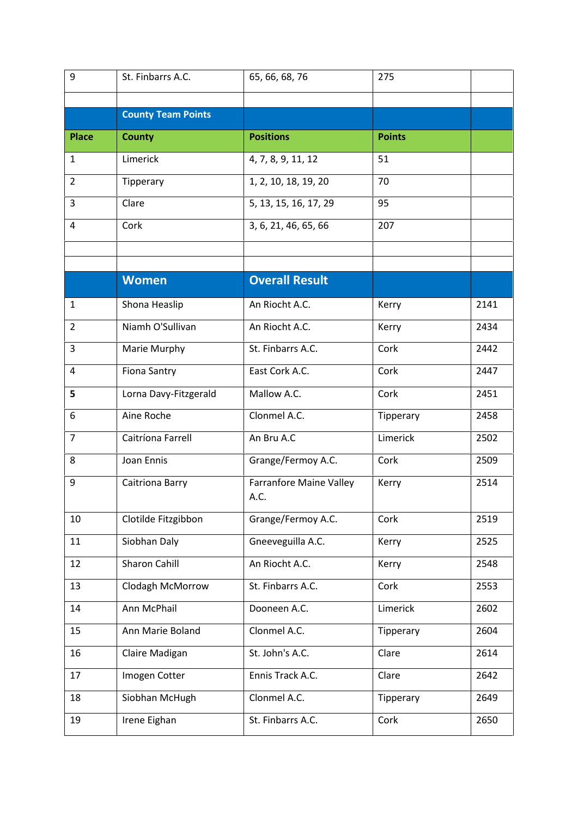| <b>County Team Points</b><br><b>Positions</b><br><b>Place</b><br><b>County</b><br><b>Points</b><br>Limerick<br>1<br>4, 7, 8, 9, 11, 12<br>51<br>1, 2, 10, 18, 19, 20<br>70<br>$\overline{2}$<br>Tipperary<br>5, 13, 15, 16, 17, 29<br>3<br>Clare<br>95<br>3, 6, 21, 46, 65, 66<br>Cork<br>207<br>4<br><b>Overall Result</b><br><b>Women</b><br>Shona Heaslip<br>An Riocht A.C.<br>2141<br>1<br>Kerry<br>Niamh O'Sullivan<br>An Riocht A.C.<br>$\overline{2}$<br>2434<br>Kerry<br>St. Finbarrs A.C.<br>3<br>Marie Murphy<br>Cork<br>2442<br><b>Fiona Santry</b><br>East Cork A.C.<br>Cork<br>2447<br>4<br>Mallow A.C.<br>Lorna Davy-Fitzgerald<br>Cork<br>5<br>2451<br>Aine Roche<br>Clonmel A.C.<br>6<br>2458<br>Tipperary<br>Caitríona Farrell<br>An Bru A.C<br>Limerick<br>$\overline{7}$<br>2502<br>8<br>Joan Ennis<br>Grange/Fermoy A.C.<br>Cork<br>2509<br>2514<br>9<br>Caitriona Barry<br><b>Farranfore Maine Valley</b><br>Kerry<br>A.C.<br>Grange/Fermoy A.C.<br>Clotilde Fitzgibbon<br>2519<br>10<br>Cork<br>11<br>Siobhan Daly<br>Gneeveguilla A.C.<br>2525<br>Kerry<br>Sharon Cahill<br>An Riocht A.C.<br>12<br>2548<br>Kerry<br>13<br>Clodagh McMorrow<br>St. Finbarrs A.C.<br>Cork<br>2553<br>Ann McPhail<br>Limerick<br>14<br>Dooneen A.C.<br>2602<br>Ann Marie Boland<br>Clonmel A.C.<br>15<br>Tipperary<br>2604<br>St. John's A.C.<br>16<br>Claire Madigan<br>Clare<br>2614<br>17<br>Imogen Cotter<br>Ennis Track A.C.<br>Clare<br>2642<br>Clonmel A.C.<br>18<br>Siobhan McHugh<br>Tipperary<br>2649<br>Irene Eighan<br>St. Finbarrs A.C.<br>Cork<br>2650<br>19 | 9 | St. Finbarrs A.C. | 65, 66, 68, 76 | 275 |  |
|---------------------------------------------------------------------------------------------------------------------------------------------------------------------------------------------------------------------------------------------------------------------------------------------------------------------------------------------------------------------------------------------------------------------------------------------------------------------------------------------------------------------------------------------------------------------------------------------------------------------------------------------------------------------------------------------------------------------------------------------------------------------------------------------------------------------------------------------------------------------------------------------------------------------------------------------------------------------------------------------------------------------------------------------------------------------------------------------------------------------------------------------------------------------------------------------------------------------------------------------------------------------------------------------------------------------------------------------------------------------------------------------------------------------------------------------------------------------------------------------------------------------------------------------------------------------------------|---|-------------------|----------------|-----|--|
|                                                                                                                                                                                                                                                                                                                                                                                                                                                                                                                                                                                                                                                                                                                                                                                                                                                                                                                                                                                                                                                                                                                                                                                                                                                                                                                                                                                                                                                                                                                                                                                 |   |                   |                |     |  |
|                                                                                                                                                                                                                                                                                                                                                                                                                                                                                                                                                                                                                                                                                                                                                                                                                                                                                                                                                                                                                                                                                                                                                                                                                                                                                                                                                                                                                                                                                                                                                                                 |   |                   |                |     |  |
|                                                                                                                                                                                                                                                                                                                                                                                                                                                                                                                                                                                                                                                                                                                                                                                                                                                                                                                                                                                                                                                                                                                                                                                                                                                                                                                                                                                                                                                                                                                                                                                 |   |                   |                |     |  |
|                                                                                                                                                                                                                                                                                                                                                                                                                                                                                                                                                                                                                                                                                                                                                                                                                                                                                                                                                                                                                                                                                                                                                                                                                                                                                                                                                                                                                                                                                                                                                                                 |   |                   |                |     |  |
|                                                                                                                                                                                                                                                                                                                                                                                                                                                                                                                                                                                                                                                                                                                                                                                                                                                                                                                                                                                                                                                                                                                                                                                                                                                                                                                                                                                                                                                                                                                                                                                 |   |                   |                |     |  |
|                                                                                                                                                                                                                                                                                                                                                                                                                                                                                                                                                                                                                                                                                                                                                                                                                                                                                                                                                                                                                                                                                                                                                                                                                                                                                                                                                                                                                                                                                                                                                                                 |   |                   |                |     |  |
|                                                                                                                                                                                                                                                                                                                                                                                                                                                                                                                                                                                                                                                                                                                                                                                                                                                                                                                                                                                                                                                                                                                                                                                                                                                                                                                                                                                                                                                                                                                                                                                 |   |                   |                |     |  |
|                                                                                                                                                                                                                                                                                                                                                                                                                                                                                                                                                                                                                                                                                                                                                                                                                                                                                                                                                                                                                                                                                                                                                                                                                                                                                                                                                                                                                                                                                                                                                                                 |   |                   |                |     |  |
|                                                                                                                                                                                                                                                                                                                                                                                                                                                                                                                                                                                                                                                                                                                                                                                                                                                                                                                                                                                                                                                                                                                                                                                                                                                                                                                                                                                                                                                                                                                                                                                 |   |                   |                |     |  |
|                                                                                                                                                                                                                                                                                                                                                                                                                                                                                                                                                                                                                                                                                                                                                                                                                                                                                                                                                                                                                                                                                                                                                                                                                                                                                                                                                                                                                                                                                                                                                                                 |   |                   |                |     |  |
|                                                                                                                                                                                                                                                                                                                                                                                                                                                                                                                                                                                                                                                                                                                                                                                                                                                                                                                                                                                                                                                                                                                                                                                                                                                                                                                                                                                                                                                                                                                                                                                 |   |                   |                |     |  |
|                                                                                                                                                                                                                                                                                                                                                                                                                                                                                                                                                                                                                                                                                                                                                                                                                                                                                                                                                                                                                                                                                                                                                                                                                                                                                                                                                                                                                                                                                                                                                                                 |   |                   |                |     |  |
|                                                                                                                                                                                                                                                                                                                                                                                                                                                                                                                                                                                                                                                                                                                                                                                                                                                                                                                                                                                                                                                                                                                                                                                                                                                                                                                                                                                                                                                                                                                                                                                 |   |                   |                |     |  |
|                                                                                                                                                                                                                                                                                                                                                                                                                                                                                                                                                                                                                                                                                                                                                                                                                                                                                                                                                                                                                                                                                                                                                                                                                                                                                                                                                                                                                                                                                                                                                                                 |   |                   |                |     |  |
|                                                                                                                                                                                                                                                                                                                                                                                                                                                                                                                                                                                                                                                                                                                                                                                                                                                                                                                                                                                                                                                                                                                                                                                                                                                                                                                                                                                                                                                                                                                                                                                 |   |                   |                |     |  |
|                                                                                                                                                                                                                                                                                                                                                                                                                                                                                                                                                                                                                                                                                                                                                                                                                                                                                                                                                                                                                                                                                                                                                                                                                                                                                                                                                                                                                                                                                                                                                                                 |   |                   |                |     |  |
|                                                                                                                                                                                                                                                                                                                                                                                                                                                                                                                                                                                                                                                                                                                                                                                                                                                                                                                                                                                                                                                                                                                                                                                                                                                                                                                                                                                                                                                                                                                                                                                 |   |                   |                |     |  |
|                                                                                                                                                                                                                                                                                                                                                                                                                                                                                                                                                                                                                                                                                                                                                                                                                                                                                                                                                                                                                                                                                                                                                                                                                                                                                                                                                                                                                                                                                                                                                                                 |   |                   |                |     |  |
|                                                                                                                                                                                                                                                                                                                                                                                                                                                                                                                                                                                                                                                                                                                                                                                                                                                                                                                                                                                                                                                                                                                                                                                                                                                                                                                                                                                                                                                                                                                                                                                 |   |                   |                |     |  |
|                                                                                                                                                                                                                                                                                                                                                                                                                                                                                                                                                                                                                                                                                                                                                                                                                                                                                                                                                                                                                                                                                                                                                                                                                                                                                                                                                                                                                                                                                                                                                                                 |   |                   |                |     |  |
|                                                                                                                                                                                                                                                                                                                                                                                                                                                                                                                                                                                                                                                                                                                                                                                                                                                                                                                                                                                                                                                                                                                                                                                                                                                                                                                                                                                                                                                                                                                                                                                 |   |                   |                |     |  |
|                                                                                                                                                                                                                                                                                                                                                                                                                                                                                                                                                                                                                                                                                                                                                                                                                                                                                                                                                                                                                                                                                                                                                                                                                                                                                                                                                                                                                                                                                                                                                                                 |   |                   |                |     |  |
|                                                                                                                                                                                                                                                                                                                                                                                                                                                                                                                                                                                                                                                                                                                                                                                                                                                                                                                                                                                                                                                                                                                                                                                                                                                                                                                                                                                                                                                                                                                                                                                 |   |                   |                |     |  |
|                                                                                                                                                                                                                                                                                                                                                                                                                                                                                                                                                                                                                                                                                                                                                                                                                                                                                                                                                                                                                                                                                                                                                                                                                                                                                                                                                                                                                                                                                                                                                                                 |   |                   |                |     |  |
|                                                                                                                                                                                                                                                                                                                                                                                                                                                                                                                                                                                                                                                                                                                                                                                                                                                                                                                                                                                                                                                                                                                                                                                                                                                                                                                                                                                                                                                                                                                                                                                 |   |                   |                |     |  |
|                                                                                                                                                                                                                                                                                                                                                                                                                                                                                                                                                                                                                                                                                                                                                                                                                                                                                                                                                                                                                                                                                                                                                                                                                                                                                                                                                                                                                                                                                                                                                                                 |   |                   |                |     |  |
|                                                                                                                                                                                                                                                                                                                                                                                                                                                                                                                                                                                                                                                                                                                                                                                                                                                                                                                                                                                                                                                                                                                                                                                                                                                                                                                                                                                                                                                                                                                                                                                 |   |                   |                |     |  |
|                                                                                                                                                                                                                                                                                                                                                                                                                                                                                                                                                                                                                                                                                                                                                                                                                                                                                                                                                                                                                                                                                                                                                                                                                                                                                                                                                                                                                                                                                                                                                                                 |   |                   |                |     |  |
|                                                                                                                                                                                                                                                                                                                                                                                                                                                                                                                                                                                                                                                                                                                                                                                                                                                                                                                                                                                                                                                                                                                                                                                                                                                                                                                                                                                                                                                                                                                                                                                 |   |                   |                |     |  |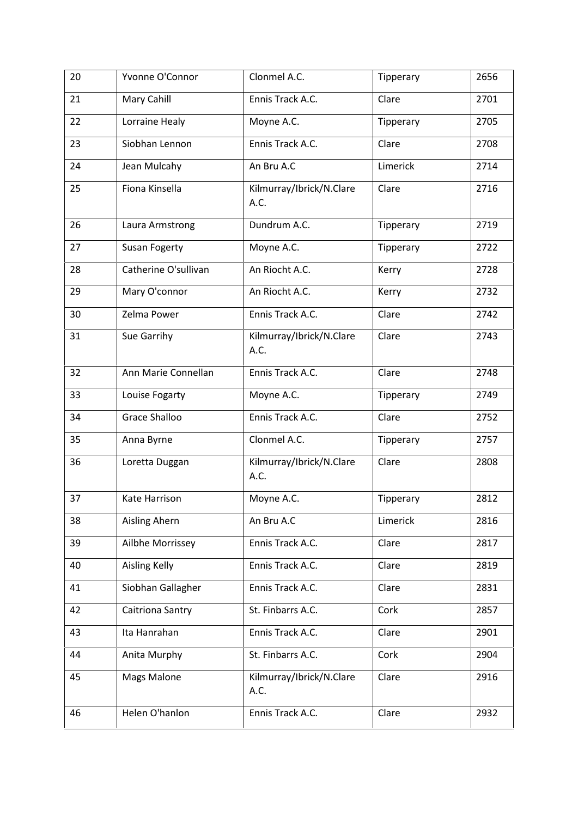| 20 | Yvonne O'Connor      | Clonmel A.C.                     | Tipperary | 2656 |
|----|----------------------|----------------------------------|-----------|------|
| 21 | Mary Cahill          | Ennis Track A.C.                 | Clare     | 2701 |
| 22 | Lorraine Healy       | Moyne A.C.                       | Tipperary | 2705 |
| 23 | Siobhan Lennon       | Ennis Track A.C.                 | Clare     | 2708 |
| 24 | Jean Mulcahy         | An Bru A.C                       | Limerick  | 2714 |
| 25 | Fiona Kinsella       | Kilmurray/Ibrick/N.Clare<br>A.C. | Clare     | 2716 |
| 26 | Laura Armstrong      | Dundrum A.C.                     | Tipperary | 2719 |
| 27 | Susan Fogerty        | Moyne A.C.                       | Tipperary | 2722 |
| 28 | Catherine O'sullivan | An Riocht A.C.                   | Kerry     | 2728 |
| 29 | Mary O'connor        | An Riocht A.C.                   | Kerry     | 2732 |
| 30 | Zelma Power          | Ennis Track A.C.                 | Clare     | 2742 |
| 31 | Sue Garrihy          | Kilmurray/Ibrick/N.Clare<br>A.C. | Clare     | 2743 |
| 32 | Ann Marie Connellan  | Ennis Track A.C.                 | Clare     | 2748 |
| 33 | Louise Fogarty       | Moyne A.C.                       | Tipperary | 2749 |
| 34 | Grace Shalloo        | Ennis Track A.C.                 | Clare     | 2752 |
| 35 | Anna Byrne           | Clonmel A.C.                     | Tipperary | 2757 |
| 36 | Loretta Duggan       | Kilmurray/Ibrick/N.Clare<br>A.C. | Clare     | 2808 |
| 37 | Kate Harrison        | Moyne A.C.                       | Tipperary | 2812 |
| 38 | Aisling Ahern        | An Bru A.C                       | Limerick  | 2816 |
| 39 | Ailbhe Morrissey     | Ennis Track A.C.                 | Clare     | 2817 |
| 40 | <b>Aisling Kelly</b> | Ennis Track A.C.                 | Clare     | 2819 |
| 41 | Siobhan Gallagher    | Ennis Track A.C.                 | Clare     | 2831 |
| 42 | Caitriona Santry     | St. Finbarrs A.C.                | Cork      | 2857 |
| 43 | Ita Hanrahan         | Ennis Track A.C.                 | Clare     | 2901 |
| 44 | Anita Murphy         | St. Finbarrs A.C.                | Cork      | 2904 |
| 45 | <b>Mags Malone</b>   | Kilmurray/Ibrick/N.Clare<br>A.C. | Clare     | 2916 |
| 46 | Helen O'hanlon       | Ennis Track A.C.                 | Clare     | 2932 |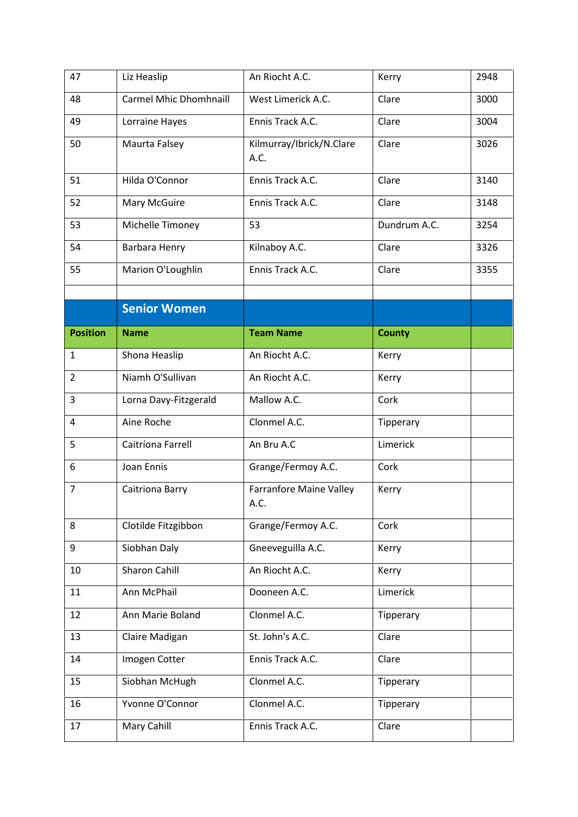| 47              | Liz Heaslip                   | An Riocht A.C.                   | Kerry         | 2948 |
|-----------------|-------------------------------|----------------------------------|---------------|------|
| 48              | <b>Carmel Mhic Dhomhnaill</b> | West Limerick A.C.               | Clare         | 3000 |
| 49              | Lorraine Hayes                | Ennis Track A.C.                 | Clare         | 3004 |
| 50              | Maurta Falsey                 | Kilmurray/Ibrick/N.Clare<br>A.C. | Clare         | 3026 |
| 51              | Hilda O'Connor                | Ennis Track A.C.                 | Clare         | 3140 |
| 52              | Mary McGuire                  | Ennis Track A.C.                 | Clare         | 3148 |
| 53              | Michelle Timoney              | 53                               | Dundrum A.C.  | 3254 |
| 54              | Barbara Henry                 | Kilnaboy A.C.                    | Clare         | 3326 |
| 55              | Marion O'Loughlin             | Ennis Track A.C.                 | Clare         | 3355 |
|                 | <b>Senior Women</b>           |                                  |               |      |
| <b>Position</b> | <b>Name</b>                   | <b>Team Name</b>                 | <b>County</b> |      |
| 1               | Shona Heaslip                 | An Riocht A.C.                   | Kerry         |      |
| $\overline{2}$  | Niamh O'Sullivan              | An Riocht A.C.                   | Kerry         |      |
| 3               | Lorna Davy-Fitzgerald         | Mallow A.C.                      | Cork          |      |
| 4               | Aine Roche                    | Clonmel A.C.                     | Tipperary     |      |
| 5               | Caitríona Farrell             | An Bru A.C                       | Limerick      |      |
| 6               | Joan Ennis                    | Grange/Fermoy A.C.               | Cork          |      |
| $\overline{7}$  | Caitriona Barry               | Farranfore Maine Valley<br>A.C.  | Kerry         |      |
| 8               | Clotilde Fitzgibbon           | Grange/Fermoy A.C.               | Cork          |      |
| 9               | Siobhan Daly                  | Gneeveguilla A.C.                | Kerry         |      |
| 10              | Sharon Cahill                 | An Riocht A.C.                   | Kerry         |      |
| 11              | Ann McPhail                   | Dooneen A.C.                     | Limerick      |      |
| 12              | Ann Marie Boland              | Clonmel A.C.                     | Tipperary     |      |
| 13              | Claire Madigan                | St. John's A.C.                  | Clare         |      |
| 14              | Imogen Cotter                 | Ennis Track A.C.                 | Clare         |      |
| 15              | Siobhan McHugh                | Clonmel A.C.                     | Tipperary     |      |
| 16              |                               |                                  |               |      |
|                 | Yvonne O'Connor               | Clonmel A.C.                     | Tipperary     |      |
| 17              | Mary Cahill                   | Ennis Track A.C.                 | Clare         |      |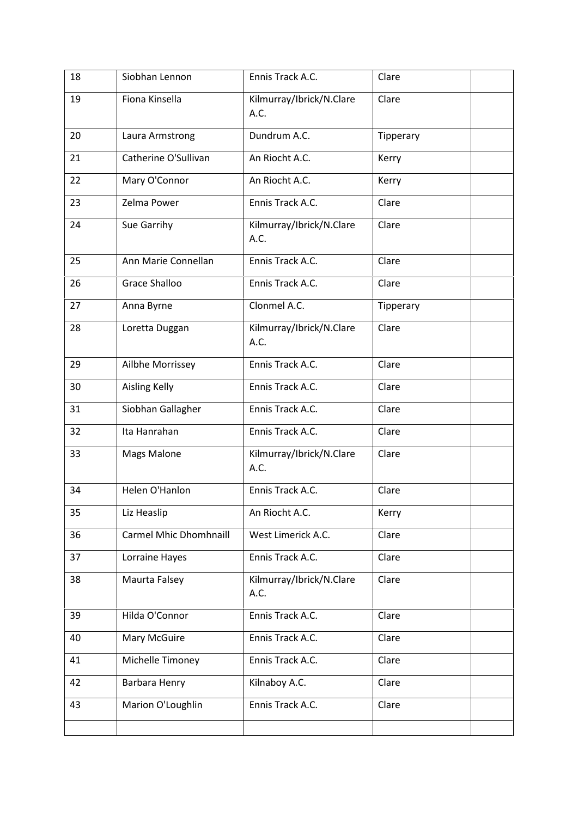| 18 | Siobhan Lennon                | Ennis Track A.C.                 | Clare     |
|----|-------------------------------|----------------------------------|-----------|
| 19 | Fiona Kinsella                | Kilmurray/Ibrick/N.Clare<br>A.C. | Clare     |
| 20 | Laura Armstrong               | Dundrum A.C.                     | Tipperary |
| 21 | Catherine O'Sullivan          | An Riocht A.C.                   | Kerry     |
| 22 | Mary O'Connor                 | An Riocht A.C.                   | Kerry     |
| 23 | Zelma Power                   | Ennis Track A.C.                 | Clare     |
| 24 | Sue Garrihy                   | Kilmurray/Ibrick/N.Clare<br>A.C. | Clare     |
| 25 | Ann Marie Connellan           | Ennis Track A.C.                 | Clare     |
| 26 | <b>Grace Shalloo</b>          | Ennis Track A.C.                 | Clare     |
| 27 | Anna Byrne                    | Clonmel A.C.                     | Tipperary |
| 28 | Loretta Duggan                | Kilmurray/Ibrick/N.Clare<br>A.C. | Clare     |
| 29 | Ailbhe Morrissey              | Ennis Track A.C.                 | Clare     |
| 30 | <b>Aisling Kelly</b>          | Ennis Track A.C.                 | Clare     |
| 31 | Siobhan Gallagher             | Ennis Track A.C.                 | Clare     |
| 32 | Ita Hanrahan                  | Ennis Track A.C.                 | Clare     |
| 33 | Mags Malone                   | Kilmurray/Ibrick/N.Clare<br>A.C. | Clare     |
| 34 | Helen O'Hanlon                | Ennis Track A.C.                 | Clare     |
| 35 | Liz Heaslip                   | An Riocht A.C.                   | Kerry     |
| 36 | <b>Carmel Mhic Dhomhnaill</b> | West Limerick A.C.               | Clare     |
| 37 | Lorraine Hayes                | Ennis Track A.C.                 | Clare     |
| 38 | Maurta Falsey                 | Kilmurray/Ibrick/N.Clare<br>A.C. | Clare     |
| 39 | Hilda O'Connor                | Ennis Track A.C.                 | Clare     |
| 40 | Mary McGuire                  | Ennis Track A.C.                 | Clare     |
| 41 | Michelle Timoney              | Ennis Track A.C.                 | Clare     |
| 42 | Barbara Henry                 | Kilnaboy A.C.                    | Clare     |
| 43 | Marion O'Loughlin             | Ennis Track A.C.                 | Clare     |
|    |                               |                                  |           |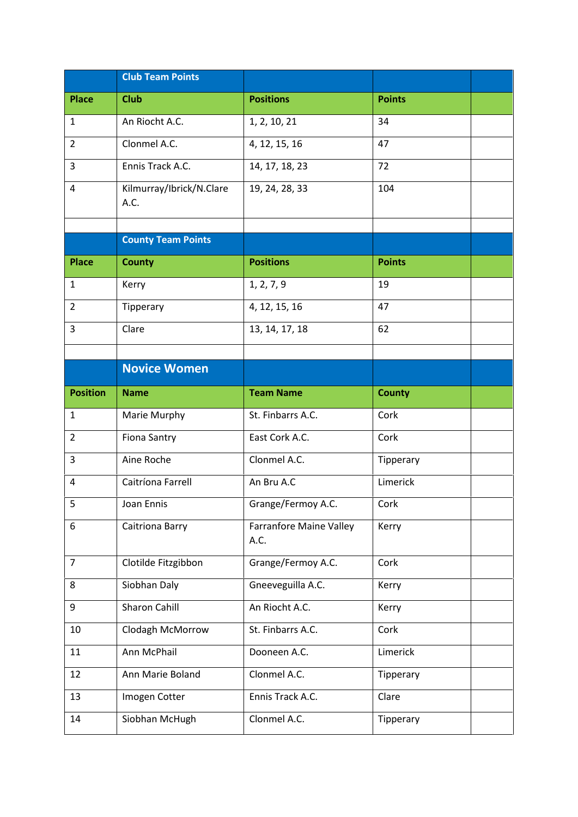|                 | <b>Club Team Points</b>          |                                        |               |  |
|-----------------|----------------------------------|----------------------------------------|---------------|--|
| <b>Place</b>    | <b>Club</b>                      | <b>Positions</b>                       | <b>Points</b> |  |
| $\mathbf{1}$    | An Riocht A.C.                   | 1, 2, 10, 21                           | 34            |  |
| $\overline{2}$  | Clonmel A.C.                     | 4, 12, 15, 16                          | 47            |  |
| 3               | Ennis Track A.C.                 | 14, 17, 18, 23                         | 72            |  |
| 4               | Kilmurray/Ibrick/N.Clare<br>A.C. | 19, 24, 28, 33                         | 104           |  |
|                 | <b>County Team Points</b>        |                                        |               |  |
| <b>Place</b>    | <b>County</b>                    | <b>Positions</b>                       | <b>Points</b> |  |
| 1               | Kerry                            | 1, 2, 7, 9                             | 19            |  |
| $\overline{2}$  | Tipperary                        | 4, 12, 15, 16                          | 47            |  |
| 3               | Clare                            | 13, 14, 17, 18                         | 62            |  |
|                 |                                  |                                        |               |  |
|                 | <b>Novice Women</b>              |                                        |               |  |
| <b>Position</b> | <b>Name</b>                      | <b>Team Name</b>                       | <b>County</b> |  |
| $\mathbf{1}$    | Marie Murphy                     | St. Finbarrs A.C.                      | Cork          |  |
| $\overline{2}$  | <b>Fiona Santry</b>              | East Cork A.C.                         | Cork          |  |
| $\overline{3}$  | Aine Roche                       | Clonmel A.C.                           | Tipperary     |  |
| 4               | Caitríona Farrell                | An Bru A.C                             | Limerick      |  |
| 5               | Joan Ennis                       | Grange/Fermoy A.C.                     | Cork          |  |
| 6               | Caitriona Barry                  | <b>Farranfore Maine Valley</b><br>A.C. | Kerry         |  |
| $\overline{7}$  | Clotilde Fitzgibbon              | Grange/Fermoy A.C.                     | Cork          |  |
| 8               | Siobhan Daly                     | Gneeveguilla A.C.                      | Kerry         |  |
| 9               | Sharon Cahill                    | An Riocht A.C.                         | Kerry         |  |
| 10              | Clodagh McMorrow                 | St. Finbarrs A.C.                      | Cork          |  |
| 11              | Ann McPhail                      | Dooneen A.C.                           | Limerick      |  |
| 12              | Ann Marie Boland                 | Clonmel A.C.                           | Tipperary     |  |
| 13              | Imogen Cotter                    | Ennis Track A.C.                       | Clare         |  |
| 14              | Siobhan McHugh                   | Clonmel A.C.                           | Tipperary     |  |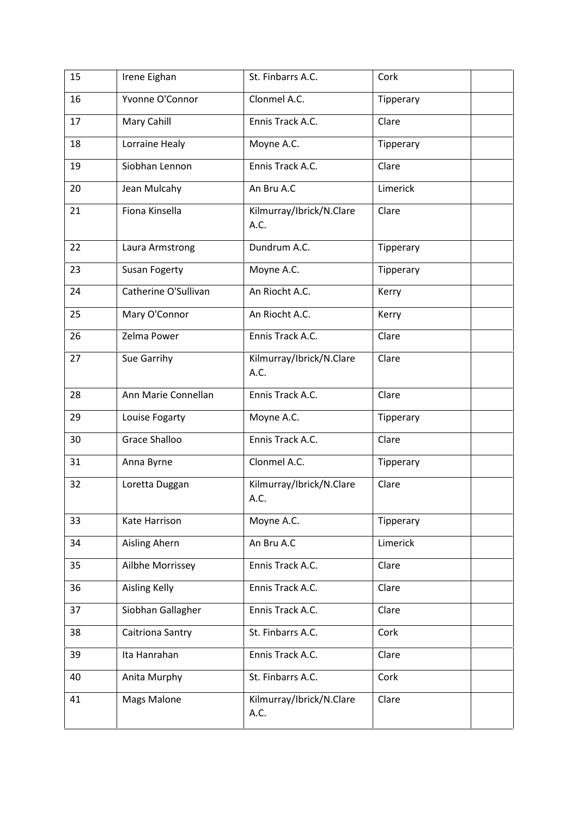| 15 | Irene Eighan         | St. Finbarrs A.C.                | Cork      |
|----|----------------------|----------------------------------|-----------|
| 16 | Yvonne O'Connor      | Clonmel A.C.                     | Tipperary |
| 17 | Mary Cahill          | Ennis Track A.C.                 | Clare     |
| 18 | Lorraine Healy       | Moyne A.C.                       | Tipperary |
| 19 | Siobhan Lennon       | Ennis Track A.C.                 | Clare     |
| 20 | Jean Mulcahy         | An Bru A.C                       | Limerick  |
| 21 | Fiona Kinsella       | Kilmurray/Ibrick/N.Clare<br>A.C. | Clare     |
| 22 | Laura Armstrong      | Dundrum A.C.                     | Tipperary |
| 23 | <b>Susan Fogerty</b> | Moyne A.C.                       | Tipperary |
| 24 | Catherine O'Sullivan | An Riocht A.C.                   | Kerry     |
| 25 | Mary O'Connor        | An Riocht A.C.                   | Kerry     |
| 26 | Zelma Power          | Ennis Track A.C.                 | Clare     |
| 27 | Sue Garrihy          | Kilmurray/Ibrick/N.Clare<br>A.C. | Clare     |
| 28 | Ann Marie Connellan  | Ennis Track A.C.                 | Clare     |
| 29 | Louise Fogarty       | Moyne A.C.                       | Tipperary |
| 30 | Grace Shalloo        | Ennis Track A.C.                 | Clare     |
| 31 | Anna Byrne           | Clonmel A.C.                     | Tipperary |
| 32 | Loretta Duggan       | Kilmurray/Ibrick/N.Clare<br>A.C. | Clare     |
| 33 | Kate Harrison        | Moyne A.C.                       | Tipperary |
| 34 | Aisling Ahern        | An Bru A.C                       | Limerick  |
| 35 | Ailbhe Morrissey     | Ennis Track A.C.                 | Clare     |
| 36 | <b>Aisling Kelly</b> | Ennis Track A.C.                 | Clare     |
| 37 | Siobhan Gallagher    | Ennis Track A.C.                 | Clare     |
| 38 | Caitriona Santry     | St. Finbarrs A.C.                | Cork      |
| 39 | Ita Hanrahan         | Ennis Track A.C.                 | Clare     |
| 40 | Anita Murphy         | St. Finbarrs A.C.                | Cork      |
| 41 | <b>Mags Malone</b>   | Kilmurray/Ibrick/N.Clare<br>A.C. | Clare     |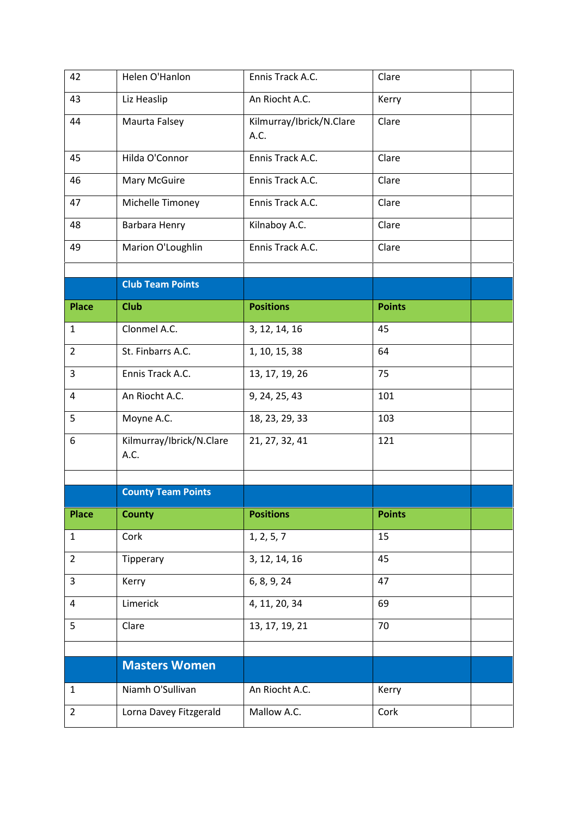| 42             | Helen O'Hanlon                   | Ennis Track A.C.                 | Clare         |  |
|----------------|----------------------------------|----------------------------------|---------------|--|
| 43             | Liz Heaslip                      | An Riocht A.C.                   | Kerry         |  |
| 44             | Maurta Falsey                    | Kilmurray/Ibrick/N.Clare<br>A.C. | Clare         |  |
| 45             | Hilda O'Connor                   | Ennis Track A.C.                 | Clare         |  |
| 46             | Mary McGuire                     | Ennis Track A.C.                 | Clare         |  |
| 47             | Michelle Timoney                 | Ennis Track A.C.                 | Clare         |  |
| 48             | Barbara Henry                    | Kilnaboy A.C.                    | Clare         |  |
| 49             | Marion O'Loughlin                | Ennis Track A.C.                 | Clare         |  |
|                |                                  |                                  |               |  |
|                | <b>Club Team Points</b>          |                                  |               |  |
| <b>Place</b>   | <b>Club</b>                      | <b>Positions</b>                 | <b>Points</b> |  |
| $\mathbf{1}$   | Clonmel A.C.                     | 3, 12, 14, 16                    | 45            |  |
| $\overline{2}$ | St. Finbarrs A.C.                | 1, 10, 15, 38                    | 64            |  |
| 3              | Ennis Track A.C.                 | 13, 17, 19, 26                   | 75            |  |
| 4              | An Riocht A.C.                   | 9, 24, 25, 43                    | 101           |  |
| 5              | Moyne A.C.                       | 18, 23, 29, 33                   | 103           |  |
| 6              | Kilmurray/Ibrick/N.Clare<br>A.C. | 21, 27, 32, 41                   | 121           |  |
|                | <b>County Team Points</b>        |                                  |               |  |
| <b>Place</b>   | <b>County</b>                    | <b>Positions</b>                 | <b>Points</b> |  |
| $\mathbf{1}$   | Cork                             | 1, 2, 5, 7                       | 15            |  |
| $\overline{2}$ | Tipperary                        | 3, 12, 14, 16                    | 45            |  |
| 3              | Kerry                            | 6, 8, 9, 24                      | 47            |  |
| 4              | Limerick                         | 4, 11, 20, 34                    | 69            |  |
| 5              | Clare                            | 13, 17, 19, 21                   | 70            |  |
|                |                                  |                                  |               |  |
|                | <b>Masters Women</b>             |                                  |               |  |
| $\mathbf{1}$   | Niamh O'Sullivan                 | An Riocht A.C.                   | Kerry         |  |
| $\overline{2}$ | Lorna Davey Fitzgerald           | Mallow A.C.                      | Cork          |  |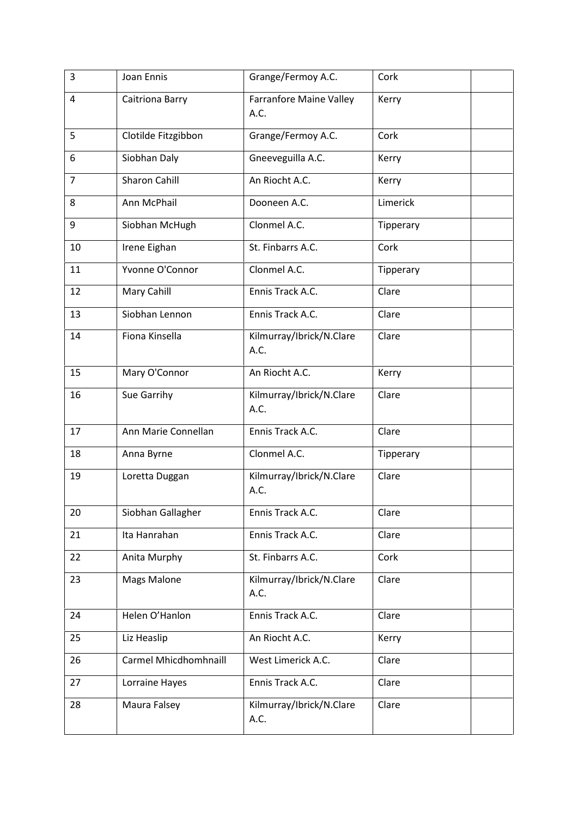| 3              | Joan Ennis            | Grange/Fermoy A.C.                     | Cork      |
|----------------|-----------------------|----------------------------------------|-----------|
| 4              | Caitriona Barry       | <b>Farranfore Maine Valley</b><br>A.C. | Kerry     |
| 5              | Clotilde Fitzgibbon   | Grange/Fermoy A.C.                     | Cork      |
| 6              | Siobhan Daly          | Gneeveguilla A.C.                      | Kerry     |
| $\overline{7}$ | <b>Sharon Cahill</b>  | An Riocht A.C.                         | Kerry     |
| 8              | Ann McPhail           | Dooneen A.C.                           | Limerick  |
| 9              | Siobhan McHugh        | Clonmel A.C.                           | Tipperary |
| 10             | Irene Eighan          | St. Finbarrs A.C.                      | Cork      |
| 11             | Yvonne O'Connor       | Clonmel A.C.                           | Tipperary |
| 12             | Mary Cahill           | Ennis Track A.C.                       | Clare     |
| 13             | Siobhan Lennon        | Ennis Track A.C.                       | Clare     |
| 14             | Fiona Kinsella        | Kilmurray/Ibrick/N.Clare<br>A.C.       | Clare     |
| 15             | Mary O'Connor         | An Riocht A.C.                         | Kerry     |
| 16             | Sue Garrihy           | Kilmurray/Ibrick/N.Clare<br>A.C.       | Clare     |
| 17             | Ann Marie Connellan   | Ennis Track A.C.                       | Clare     |
| 18             | Anna Byrne            | Clonmel A.C.                           | Tipperary |
| 19             | Loretta Duggan        | Kilmurray/Ibrick/N.Clare<br>A.C.       | Clare     |
| 20             | Siobhan Gallagher     | Ennis Track A.C.                       | Clare     |
| 21             | Ita Hanrahan          | Ennis Track A.C.                       | Clare     |
| 22             | Anita Murphy          | St. Finbarrs A.C.                      | Cork      |
| 23             | Mags Malone           | Kilmurray/Ibrick/N.Clare<br>A.C.       | Clare     |
| 24             | Helen O'Hanlon        | Ennis Track A.C.                       | Clare     |
| 25             | Liz Heaslip           | An Riocht A.C.                         | Kerry     |
| 26             | Carmel Mhicdhomhnaill | West Limerick A.C.                     | Clare     |
| 27             | Lorraine Hayes        | Ennis Track A.C.                       | Clare     |
| 28             | Maura Falsey          | Kilmurray/Ibrick/N.Clare<br>A.C.       | Clare     |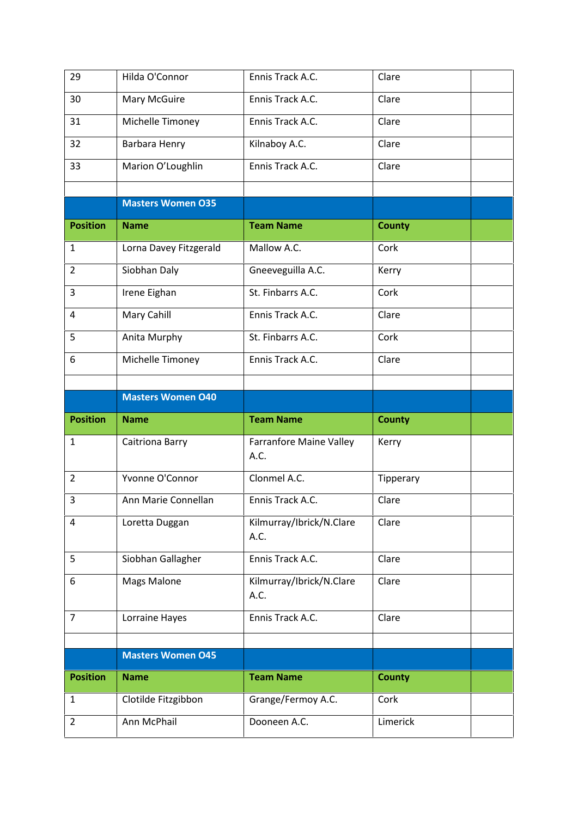| 29              | Hilda O'Connor           | Ennis Track A.C.                       | Clare         |
|-----------------|--------------------------|----------------------------------------|---------------|
| 30              | Mary McGuire             | Ennis Track A.C.                       | Clare         |
| 31              | Michelle Timoney         | Ennis Track A.C.                       | Clare         |
| 32              | Barbara Henry            | Kilnaboy A.C.                          | Clare         |
| 33              | Marion O'Loughlin        | Ennis Track A.C.                       | Clare         |
|                 |                          |                                        |               |
|                 | <b>Masters Women O35</b> |                                        |               |
| <b>Position</b> | <b>Name</b>              | <b>Team Name</b>                       | <b>County</b> |
| $\mathbf{1}$    | Lorna Davey Fitzgerald   | Mallow A.C.                            | Cork          |
| $\overline{2}$  | Siobhan Daly             | Gneeveguilla A.C.                      | Kerry         |
| 3               | Irene Eighan             | St. Finbarrs A.C.                      | Cork          |
| 4               | Mary Cahill              | Ennis Track A.C.                       | Clare         |
| 5               | Anita Murphy             | St. Finbarrs A.C.                      | Cork          |
| 6               | Michelle Timoney         | Ennis Track A.C.                       | Clare         |
|                 |                          |                                        |               |
|                 | <b>Masters Women O40</b> |                                        |               |
|                 |                          |                                        |               |
| <b>Position</b> | <b>Name</b>              | <b>Team Name</b>                       | <b>County</b> |
| $\mathbf{1}$    | Caitriona Barry          | <b>Farranfore Maine Valley</b><br>A.C. | Kerry         |
| $\overline{2}$  | Yvonne O'Connor          | Clonmel A.C.                           | Tipperary     |
| 3               | Ann Marie Connellan      | Ennis Track A.C.                       | Clare         |
| 4               | Loretta Duggan           | Kilmurray/Ibrick/N.Clare<br>A.C.       | Clare         |
| 5               | Siobhan Gallagher        | Ennis Track A.C.                       | Clare         |
| 6               | <b>Mags Malone</b>       | Kilmurray/Ibrick/N.Clare<br>A.C.       | Clare         |
| $\overline{7}$  | Lorraine Hayes           | Ennis Track A.C.                       | Clare         |
|                 |                          |                                        |               |
|                 | <b>Masters Women O45</b> |                                        |               |
| <b>Position</b> | <b>Name</b>              | <b>Team Name</b>                       | <b>County</b> |
| 1               | Clotilde Fitzgibbon      | Grange/Fermoy A.C.                     | Cork          |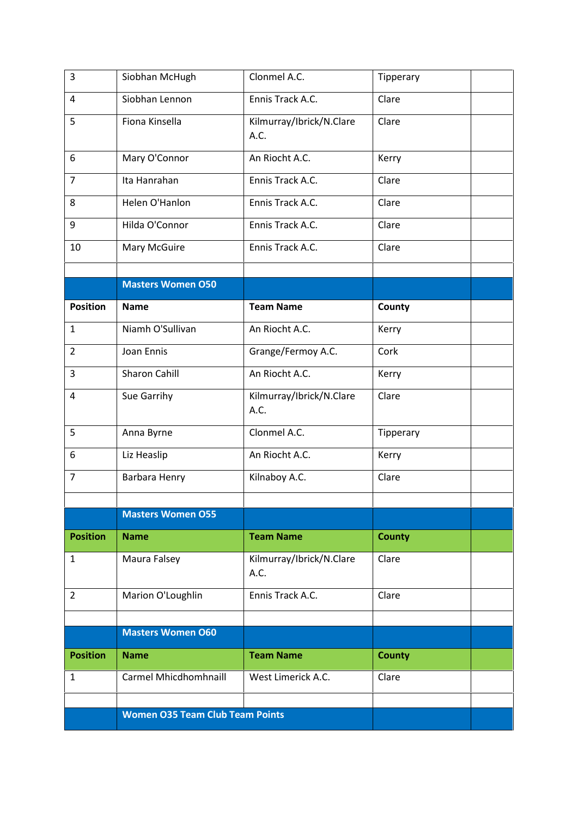| $\overline{3}$  | Siobhan McHugh                         | Clonmel A.C.                     | Tipperary     |  |
|-----------------|----------------------------------------|----------------------------------|---------------|--|
| 4               | Siobhan Lennon                         | Ennis Track A.C.                 | Clare         |  |
| 5               | Fiona Kinsella                         | Kilmurray/Ibrick/N.Clare<br>A.C. | Clare         |  |
| 6               | Mary O'Connor                          | An Riocht A.C.                   | Kerry         |  |
| $\overline{7}$  | Ita Hanrahan                           | Ennis Track A.C.                 | Clare         |  |
| 8               | Helen O'Hanlon                         | Ennis Track A.C.                 | Clare         |  |
| 9               | Hilda O'Connor                         | Ennis Track A.C.                 | Clare         |  |
| 10              | Mary McGuire                           | Ennis Track A.C.                 | Clare         |  |
|                 | <b>Masters Women O50</b>               |                                  |               |  |
| <b>Position</b> | <b>Name</b>                            | <b>Team Name</b>                 | County        |  |
| $\mathbf{1}$    | Niamh O'Sullivan                       | An Riocht A.C.                   | Kerry         |  |
| $\overline{2}$  | Joan Ennis                             | Grange/Fermoy A.C.               | Cork          |  |
| 3               | Sharon Cahill                          | An Riocht A.C.                   | Kerry         |  |
| 4               | Sue Garrihy                            | Kilmurray/Ibrick/N.Clare<br>A.C. | Clare         |  |
| 5               | Anna Byrne                             | Clonmel A.C.                     | Tipperary     |  |
| 6               | Liz Heaslip                            | An Riocht A.C.                   | Kerry         |  |
| $\overline{7}$  | Barbara Henry                          | Kilnaboy A.C.                    | Clare         |  |
|                 |                                        |                                  |               |  |
|                 | <b>Masters Women O55</b>               |                                  |               |  |
| <b>Position</b> | <b>Name</b>                            | <b>Team Name</b>                 | <b>County</b> |  |
| $\mathbf{1}$    | Maura Falsey                           | Kilmurray/Ibrick/N.Clare<br>A.C. | Clare         |  |
| $\overline{2}$  | Marion O'Loughlin                      | Ennis Track A.C.                 | Clare         |  |
|                 | <b>Masters Women O60</b>               |                                  |               |  |
| <b>Position</b> | <b>Name</b>                            | <b>Team Name</b>                 | <b>County</b> |  |
| 1               | Carmel Mhicdhomhnaill                  | West Limerick A.C.               | Clare         |  |
|                 |                                        |                                  |               |  |
|                 | <b>Women O35 Team Club Team Points</b> |                                  |               |  |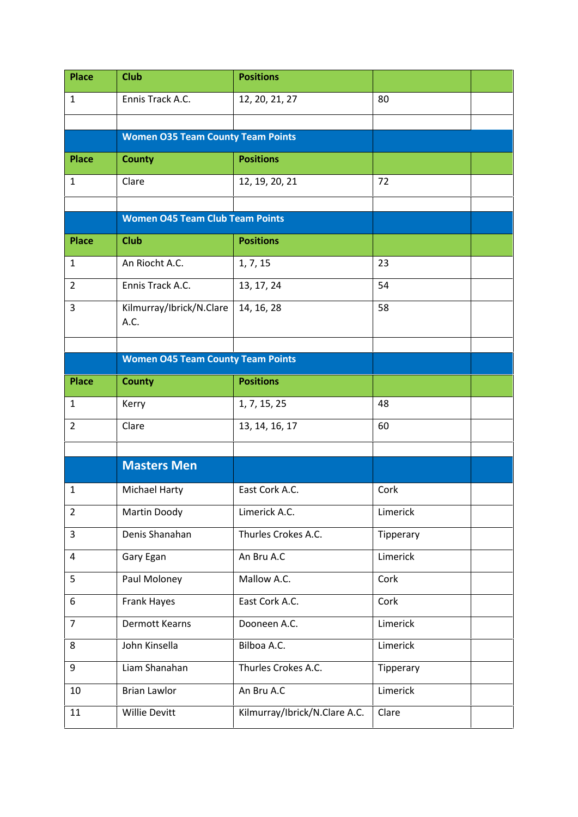| <b>Place</b>   | <b>Club</b>                              | <b>Positions</b>              |           |  |
|----------------|------------------------------------------|-------------------------------|-----------|--|
| $\mathbf{1}$   | Ennis Track A.C.                         | 12, 20, 21, 27                | 80        |  |
|                |                                          |                               |           |  |
|                | <b>Women O35 Team County Team Points</b> |                               |           |  |
| <b>Place</b>   | <b>County</b>                            | <b>Positions</b>              |           |  |
| 1              | Clare                                    | 12, 19, 20, 21                | 72        |  |
|                |                                          |                               |           |  |
|                | <b>Women O45 Team Club Team Points</b>   |                               |           |  |
| <b>Place</b>   | <b>Club</b>                              | <b>Positions</b>              |           |  |
| 1              | An Riocht A.C.                           | 1, 7, 15                      | 23        |  |
| $\overline{2}$ | Ennis Track A.C.                         | 13, 17, 24                    | 54        |  |
| 3              | Kilmurray/Ibrick/N.Clare<br>A.C.         | 14, 16, 28                    | 58        |  |
|                |                                          |                               |           |  |
|                | <b>Women O45 Team County Team Points</b> |                               |           |  |
| <b>Place</b>   | <b>County</b>                            | <b>Positions</b>              |           |  |
| 1              | Kerry                                    | 1, 7, 15, 25                  | 48        |  |
| $\overline{2}$ | Clare                                    | 13, 14, 16, 17                | 60        |  |
|                |                                          |                               |           |  |
|                | <b>Masters Men</b>                       |                               |           |  |
| 1              | <b>Michael Harty</b>                     | East Cork A.C.                | Cork      |  |
| $\overline{2}$ | Martin Doody                             | Limerick A.C.                 | Limerick  |  |
| 3              | Denis Shanahan                           | Thurles Crokes A.C.           | Tipperary |  |
| 4              | Gary Egan                                | An Bru A.C                    | Limerick  |  |
| 5              | Paul Moloney                             | Mallow A.C.                   | Cork      |  |
| 6              | Frank Hayes                              | East Cork A.C.                | Cork      |  |
| $\overline{7}$ | Dermott Kearns                           | Dooneen A.C.                  | Limerick  |  |
| 8              | John Kinsella                            | Bilboa A.C.                   | Limerick  |  |
| 9              | Liam Shanahan                            | Thurles Crokes A.C.           | Tipperary |  |
| 10             | <b>Brian Lawlor</b>                      | An Bru A.C                    | Limerick  |  |
| 11             | <b>Willie Devitt</b>                     | Kilmurray/Ibrick/N.Clare A.C. | Clare     |  |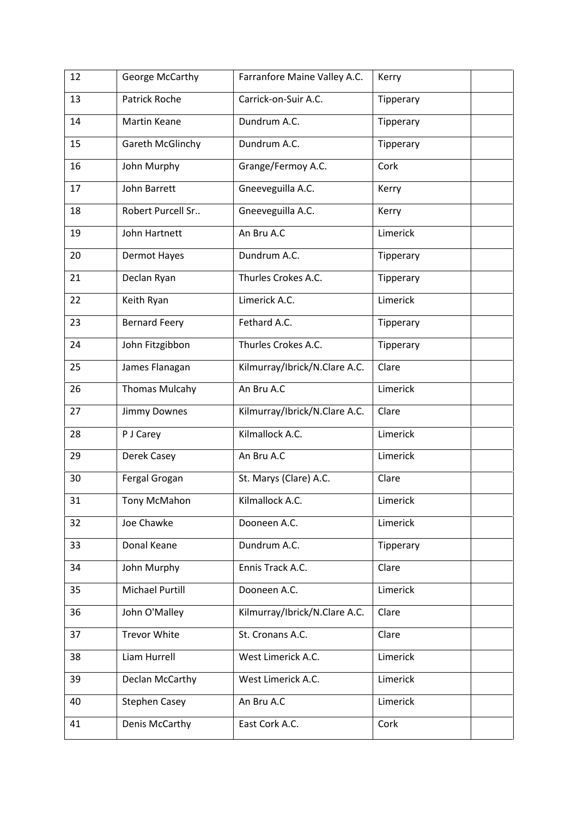| 12 | George McCarthy       | Farranfore Maine Valley A.C.  | Kerry     |
|----|-----------------------|-------------------------------|-----------|
| 13 | <b>Patrick Roche</b>  | Carrick-on-Suir A.C.          | Tipperary |
| 14 | <b>Martin Keane</b>   | Dundrum A.C.                  | Tipperary |
| 15 | Gareth McGlinchy      | Dundrum A.C.                  | Tipperary |
| 16 | John Murphy           | Grange/Fermoy A.C.            | Cork      |
| 17 | John Barrett          | Gneeveguilla A.C.             | Kerry     |
| 18 | Robert Purcell Sr     | Gneeveguilla A.C.             | Kerry     |
| 19 | John Hartnett         | An Bru A.C                    | Limerick  |
| 20 | Dermot Hayes          | Dundrum A.C.                  | Tipperary |
| 21 | Declan Ryan           | Thurles Crokes A.C.           | Tipperary |
| 22 | Keith Ryan            | Limerick A.C.                 | Limerick  |
| 23 | <b>Bernard Feery</b>  | Fethard A.C.                  | Tipperary |
| 24 | John Fitzgibbon       | Thurles Crokes A.C.           | Tipperary |
| 25 | James Flanagan        | Kilmurray/Ibrick/N.Clare A.C. | Clare     |
| 26 | <b>Thomas Mulcahy</b> | An Bru A.C                    | Limerick  |
| 27 | Jimmy Downes          | Kilmurray/Ibrick/N.Clare A.C. | Clare     |
| 28 | P J Carey             | Kilmallock A.C.               | Limerick  |
| 29 | Derek Casey           | An Bru A.C                    | Limerick  |
| 30 | Fergal Grogan         | St. Marys (Clare) A.C.        | Clare     |
| 31 | Tony McMahon          | Kilmallock A.C.               | Limerick  |
| 32 | Joe Chawke            | Dooneen A.C.                  | Limerick  |
| 33 | Donal Keane           | Dundrum A.C.                  | Tipperary |
| 34 | John Murphy           | Ennis Track A.C.              | Clare     |
| 35 | Michael Purtill       | Dooneen A.C.                  | Limerick  |
| 36 | John O'Malley         | Kilmurray/Ibrick/N.Clare A.C. | Clare     |
| 37 | <b>Trevor White</b>   | St. Cronans A.C.              | Clare     |
| 38 | Liam Hurrell          | West Limerick A.C.            | Limerick  |
| 39 | Declan McCarthy       | West Limerick A.C.            | Limerick  |
| 40 | <b>Stephen Casey</b>  | An Bru A.C                    | Limerick  |
| 41 | Denis McCarthy        | East Cork A.C.                | Cork      |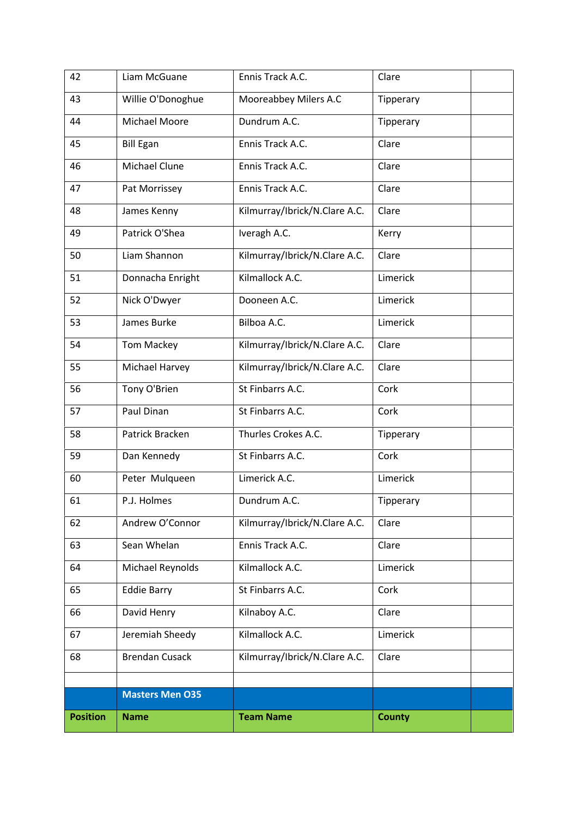| 42              | Liam McGuane           | Ennis Track A.C.              | Clare         |
|-----------------|------------------------|-------------------------------|---------------|
| 43              | Willie O'Donoghue      | Mooreabbey Milers A.C         | Tipperary     |
| 44              | Michael Moore          | Dundrum A.C.                  | Tipperary     |
| 45              | <b>Bill Egan</b>       | Ennis Track A.C.              | Clare         |
| 46              | Michael Clune          | Ennis Track A.C.              | Clare         |
| 47              | Pat Morrissey          | Ennis Track A.C.              | Clare         |
| 48              | James Kenny            | Kilmurray/Ibrick/N.Clare A.C. | Clare         |
| 49              | Patrick O'Shea         | Iveragh A.C.                  | Kerry         |
| 50              | Liam Shannon           | Kilmurray/Ibrick/N.Clare A.C. | Clare         |
| 51              | Donnacha Enright       | Kilmallock A.C.               | Limerick      |
| 52              | Nick O'Dwyer           | Dooneen A.C.                  | Limerick      |
| 53              | James Burke            | Bilboa A.C.                   | Limerick      |
| 54              | Tom Mackey             | Kilmurray/Ibrick/N.Clare A.C. | Clare         |
| 55              | Michael Harvey         | Kilmurray/Ibrick/N.Clare A.C. | Clare         |
| 56              | Tony O'Brien           | St Finbarrs A.C.              | Cork          |
| 57              | Paul Dinan             | St Finbarrs A.C.              | Cork          |
| 58              | Patrick Bracken        | Thurles Crokes A.C.           | Tipperary     |
| 59              | Dan Kennedy            | St Finbarrs A.C.              | Cork          |
| 60              | Peter Mulqueen         | Limerick A.C.                 | Limerick      |
| 61              | P.J. Holmes            | Dundrum A.C.                  | Tipperary     |
| 62              | Andrew O'Connor        | Kilmurray/Ibrick/N.Clare A.C. | Clare         |
| 63              | Sean Whelan            | Ennis Track A.C.              | Clare         |
| 64              | Michael Reynolds       | Kilmallock A.C.               | Limerick      |
| 65              | <b>Eddie Barry</b>     | St Finbarrs A.C.              | Cork          |
| 66              | David Henry            | Kilnaboy A.C.                 | Clare         |
| 67              | Jeremiah Sheedy        | Kilmallock A.C.               | Limerick      |
| 68              | <b>Brendan Cusack</b>  | Kilmurray/Ibrick/N.Clare A.C. | Clare         |
|                 |                        |                               |               |
|                 | <b>Masters Men O35</b> |                               |               |
| <b>Position</b> | <b>Name</b>            | <b>Team Name</b>              | <b>County</b> |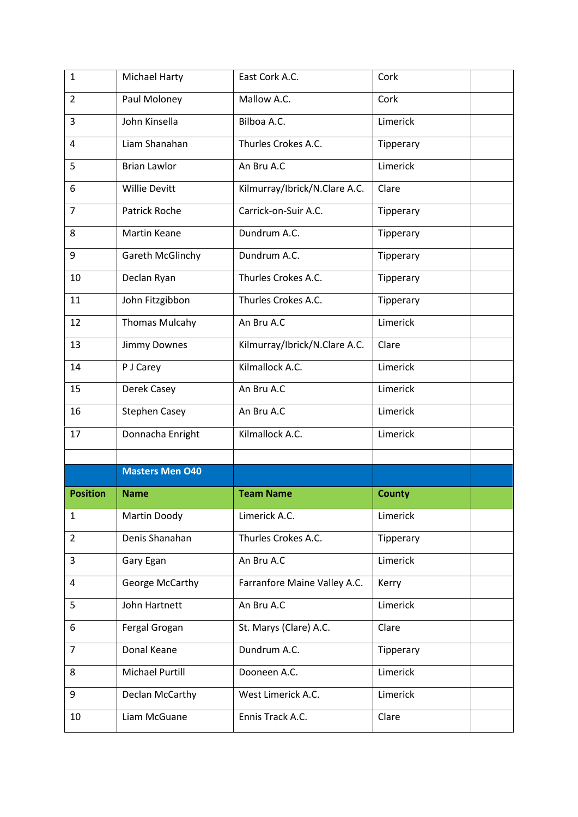| $\mathbf{1}$    | Michael Harty          | East Cork A.C.                | Cork          |
|-----------------|------------------------|-------------------------------|---------------|
| $\overline{2}$  | Paul Moloney           | Mallow A.C.                   | Cork          |
| 3               | John Kinsella          | Bilboa A.C.                   | Limerick      |
| 4               | Liam Shanahan          | Thurles Crokes A.C.           | Tipperary     |
| 5               | <b>Brian Lawlor</b>    | An Bru A.C                    | Limerick      |
| 6               | <b>Willie Devitt</b>   | Kilmurray/Ibrick/N.Clare A.C. | Clare         |
| $\overline{7}$  | Patrick Roche          | Carrick-on-Suir A.C.          | Tipperary     |
| 8               | Martin Keane           | Dundrum A.C.                  | Tipperary     |
| 9               | Gareth McGlinchy       | Dundrum A.C.                  | Tipperary     |
| 10              | Declan Ryan            | Thurles Crokes A.C.           | Tipperary     |
| 11              | John Fitzgibbon        | Thurles Crokes A.C.           | Tipperary     |
| 12              | <b>Thomas Mulcahy</b>  | An Bru A.C                    | Limerick      |
| 13              | Jimmy Downes           | Kilmurray/Ibrick/N.Clare A.C. | Clare         |
| 14              | P J Carey              | Kilmallock A.C.               | Limerick      |
| 15              | Derek Casey            | An Bru A.C                    | Limerick      |
|                 |                        |                               |               |
| 16              | <b>Stephen Casey</b>   | An Bru A.C                    | Limerick      |
| 17              | Donnacha Enright       | Kilmallock A.C.               | Limerick      |
|                 |                        |                               |               |
|                 | <b>Masters Men 040</b> |                               |               |
| <b>Position</b> | <b>Name</b>            | <b>Team Name</b>              | <b>County</b> |
| $\mathbf{1}$    | Martin Doody           | Limerick A.C.                 | Limerick      |
| $\overline{2}$  | Denis Shanahan         | Thurles Crokes A.C.           | Tipperary     |
| 3               | Gary Egan              | An Bru A.C                    | Limerick      |
| 4               | George McCarthy        | Farranfore Maine Valley A.C.  | Kerry         |
| 5               | John Hartnett          | An Bru A.C                    | Limerick      |
| 6               | Fergal Grogan          | St. Marys (Clare) A.C.        | Clare         |
| $\overline{7}$  | Donal Keane            | Dundrum A.C.                  | Tipperary     |
| 8               | <b>Michael Purtill</b> | Dooneen A.C.                  | Limerick      |
| 9               | Declan McCarthy        | West Limerick A.C.            | Limerick      |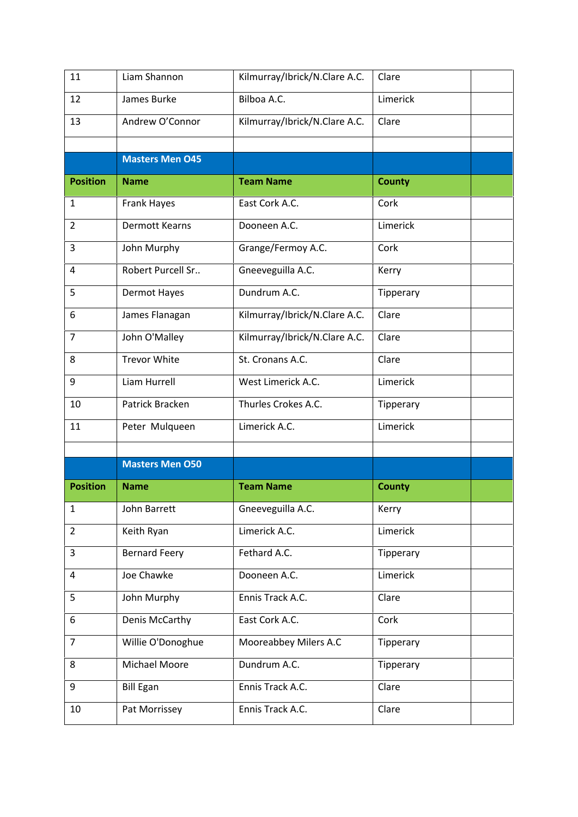| 11              | Liam Shannon           | Kilmurray/Ibrick/N.Clare A.C. | Clare         |
|-----------------|------------------------|-------------------------------|---------------|
| 12              | James Burke            | Bilboa A.C.                   | Limerick      |
| 13              | Andrew O'Connor        | Kilmurray/Ibrick/N.Clare A.C. | Clare         |
|                 |                        |                               |               |
|                 | <b>Masters Men 045</b> |                               |               |
| <b>Position</b> | <b>Name</b>            | <b>Team Name</b>              | <b>County</b> |
| $\mathbf{1}$    | <b>Frank Hayes</b>     | East Cork A.C.                | Cork          |
| 2               | <b>Dermott Kearns</b>  | Dooneen A.C.                  | Limerick      |
| 3               | John Murphy            | Grange/Fermoy A.C.            | Cork          |
| 4               | Robert Purcell Sr      | Gneeveguilla A.C.             | Kerry         |
| 5               | Dermot Hayes           | Dundrum A.C.                  | Tipperary     |
| 6               | James Flanagan         | Kilmurray/Ibrick/N.Clare A.C. | Clare         |
| $\overline{7}$  | John O'Malley          | Kilmurray/Ibrick/N.Clare A.C. | Clare         |
| 8               | <b>Trevor White</b>    | St. Cronans A.C.              | Clare         |
| 9               | Liam Hurrell           | West Limerick A.C.            | Limerick      |
| 10              | Patrick Bracken        | Thurles Crokes A.C.           | Tipperary     |
| 11              | Peter Mulqueen         | Limerick A.C.                 | Limerick      |
|                 |                        |                               |               |
|                 | <b>Masters Men O50</b> |                               |               |
| <b>Position</b> | <b>Name</b>            | <b>Team Name</b>              | <b>County</b> |
| $\mathbf{1}$    | John Barrett           | Gneeveguilla A.C.             | Kerry         |
| $\overline{2}$  | Keith Ryan             | Limerick A.C.                 | Limerick      |
| 3               | <b>Bernard Feery</b>   | Fethard A.C.                  | Tipperary     |
| 4               | Joe Chawke             | Dooneen A.C.                  | Limerick      |
| 5               | John Murphy            | Ennis Track A.C.              | Clare         |
| 6               | Denis McCarthy         | East Cork A.C.                | Cork          |
| $\overline{7}$  | Willie O'Donoghue      | Mooreabbey Milers A.C         | Tipperary     |
| 8               | Michael Moore          | Dundrum A.C.                  | Tipperary     |
| 9               | <b>Bill Egan</b>       | Ennis Track A.C.              | Clare         |
| 10              | Pat Morrissey          | Ennis Track A.C.              | Clare         |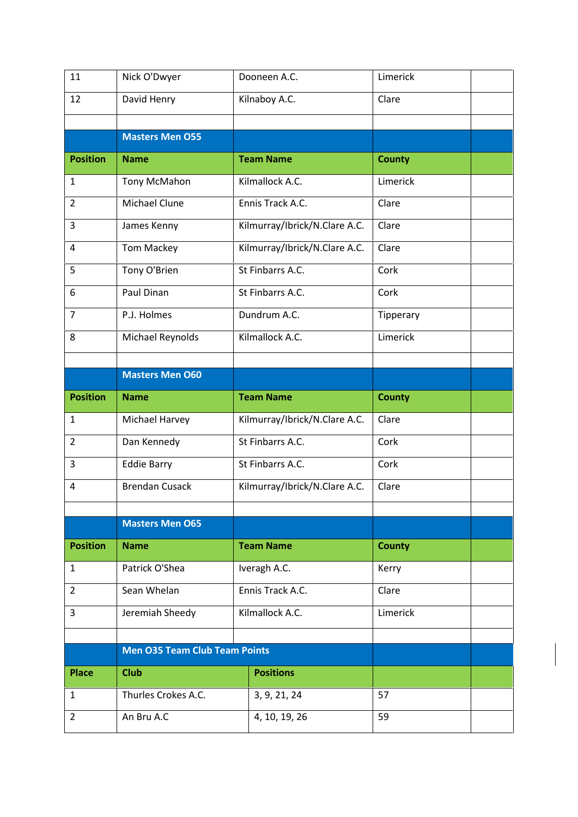| 11              | Nick O'Dwyer                         | Dooneen A.C.                  | Limerick      |  |
|-----------------|--------------------------------------|-------------------------------|---------------|--|
| 12              | David Henry                          | Kilnaboy A.C.                 | Clare         |  |
|                 |                                      |                               |               |  |
|                 | <b>Masters Men O55</b>               |                               |               |  |
| <b>Position</b> | <b>Name</b>                          | <b>Team Name</b>              | <b>County</b> |  |
| 1               | Tony McMahon                         | Kilmallock A.C.               | Limerick      |  |
| $\overline{2}$  | Michael Clune                        | Ennis Track A.C.              | Clare         |  |
| 3               | James Kenny                          | Kilmurray/Ibrick/N.Clare A.C. | Clare         |  |
| 4               | <b>Tom Mackey</b>                    | Kilmurray/Ibrick/N.Clare A.C. | Clare         |  |
| 5               | Tony O'Brien                         | St Finbarrs A.C.              | Cork          |  |
| 6               | Paul Dinan                           | St Finbarrs A.C.              | Cork          |  |
| $\overline{7}$  | P.J. Holmes                          | Dundrum A.C.                  | Tipperary     |  |
| 8               | Michael Reynolds                     | Kilmallock A.C.               | Limerick      |  |
|                 |                                      |                               |               |  |
|                 | <b>Masters Men O60</b>               |                               |               |  |
| <b>Position</b> | <b>Name</b>                          | <b>Team Name</b>              | <b>County</b> |  |
|                 |                                      |                               |               |  |
| $\mathbf{1}$    | Michael Harvey                       | Kilmurray/Ibrick/N.Clare A.C. | Clare         |  |
| $\overline{2}$  | Dan Kennedy                          | St Finbarrs A.C.              | Cork          |  |
| 3               | <b>Eddie Barry</b>                   | St Finbarrs A.C.              | Cork          |  |
| 4               | <b>Brendan Cusack</b>                | Kilmurray/Ibrick/N.Clare A.C. | Clare         |  |
|                 |                                      |                               |               |  |
|                 | <b>Masters Men O65</b>               |                               |               |  |
| <b>Position</b> | <b>Name</b>                          | <b>Team Name</b>              | <b>County</b> |  |
| $\mathbf{1}$    | Patrick O'Shea                       | Iveragh A.C.                  | Kerry         |  |
| $\overline{2}$  | Sean Whelan                          | Ennis Track A.C.              | Clare         |  |
| 3               | Jeremiah Sheedy                      | Kilmallock A.C.               | Limerick      |  |
|                 |                                      |                               |               |  |
|                 | <b>Men O35 Team Club Team Points</b> |                               |               |  |
| <b>Place</b>    | <b>Club</b>                          | <b>Positions</b>              |               |  |
| $\mathbf{1}$    | Thurles Crokes A.C.                  | 3, 9, 21, 24                  | 57            |  |